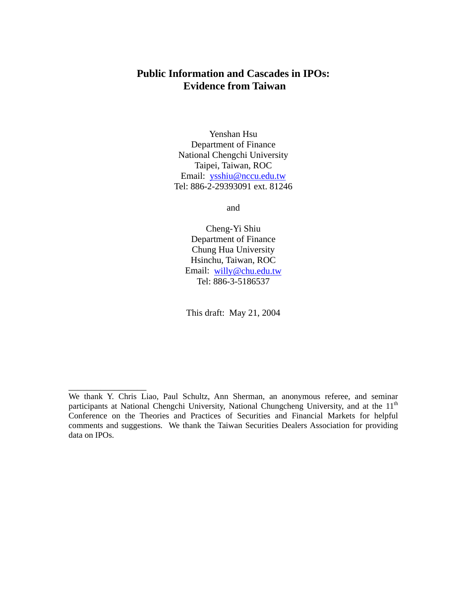# **Public Information and Cascades in IPOs: Evidence from Taiwan**

Yenshan Hsu Department of Finance National Chengchi University Taipei, Taiwan, ROC Email: ysshiu@nccu.edu.tw Tel: 886-2-29393091 ext. 81246

and

Cheng-Yi Shiu Department of Finance Chung Hua University Hsinchu, Taiwan, ROC Email: willy@chu.edu.tw Tel: 886-3-5186537

This draft: May 21, 2004

\_\_\_\_\_\_\_\_\_\_\_\_\_\_\_\_\_

We thank Y. Chris Liao, Paul Schultz, Ann Sherman, an anonymous referee, and seminar participants at National Chengchi University, National Chungcheng University, and at the 11<sup>th</sup> Conference on the Theories and Practices of Securities and Financial Markets for helpful comments and suggestions. We thank the Taiwan Securities Dealers Association for providing data on IPOs.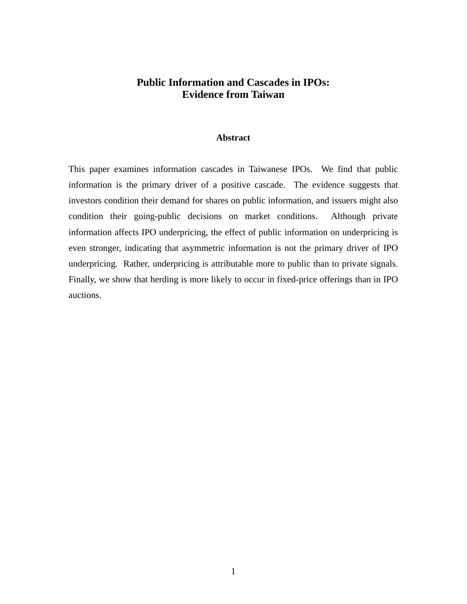# **Public Information and Cascades in IPOs: Evidence from Taiwan**

#### **Abstract**

This paper examines information cascades in Taiwanese IPOs. We find that public information is the primary driver of a positive cascade. The evidence suggests that investors condition their demand for shares on public information, and issuers might also condition their going-public decisions on market conditions. Although private information affects IPO underpricing, the effect of public information on underpricing is even stronger, indicating that asymmetric information is not the primary driver of IPO underpricing. Rather, underpricing is attributable more to public than to private signals. Finally, we show that herding is more likely to occur in fixed-price offerings than in IPO auctions.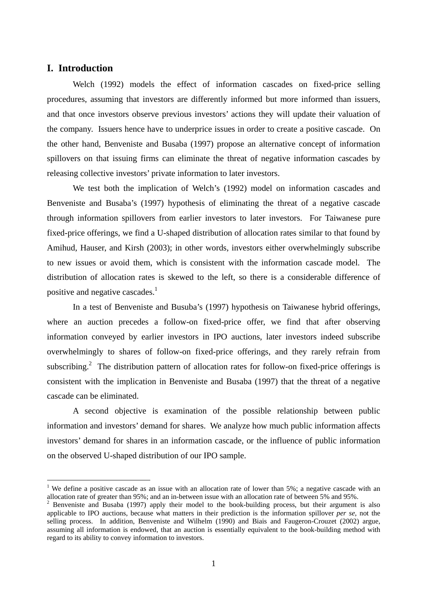# **I. Introduction**

 $\overline{a}$ 

Welch (1992) models the effect of information cascades on fixed-price selling procedures, assuming that investors are differently informed but more informed than issuers, and that once investors observe previous investors' actions they will update their valuation of the company. Issuers hence have to underprice issues in order to create a positive cascade. On the other hand, Benveniste and Busaba (1997) propose an alternative concept of information spillovers on that issuing firms can eliminate the threat of negative information cascades by releasing collective investors' private information to later investors.

We test both the implication of Welch's (1992) model on information cascades and Benveniste and Busaba's (1997) hypothesis of eliminating the threat of a negative cascade through information spillovers from earlier investors to later investors. For Taiwanese pure fixed-price offerings, we find a U-shaped distribution of allocation rates similar to that found by Amihud, Hauser, and Kirsh (2003); in other words, investors either overwhelmingly subscribe to new issues or avoid them, which is consistent with the information cascade model. The distribution of allocation rates is skewed to the left, so there is a considerable difference of positive and negative cascades.<sup>1</sup>

In a test of Benveniste and Busuba's (1997) hypothesis on Taiwanese hybrid offerings, where an auction precedes a follow-on fixed-price offer, we find that after observing information conveyed by earlier investors in IPO auctions, later investors indeed subscribe overwhelmingly to shares of follow-on fixed-price offerings, and they rarely refrain from subscribing.<sup>2</sup> The distribution pattern of allocation rates for follow-on fixed-price offerings is consistent with the implication in Benveniste and Busaba (1997) that the threat of a negative cascade can be eliminated.

A second objective is examination of the possible relationship between public information and investors' demand for shares. We analyze how much public information affects investors' demand for shares in an information cascade, or the influence of public information on the observed U-shaped distribution of our IPO sample.

<sup>&</sup>lt;sup>1</sup> We define a positive cascade as an issue with an allocation rate of lower than 5%; a negative cascade with an allocation rate of greater than 95%; and an in-between issue with an allocation rate of between 5% and 95%. 2

 $2$  Benveniste and Busaba (1997) apply their model to the book-building process, but their argument is also applicable to IPO auctions, because what matters in their prediction is the information spillover *per se*, not the selling process. In addition, Benveniste and Wilhelm (1990) and Biais and Faugeron-Crouzet (2002) argue, assuming all information is endowed, that an auction is essentially equivalent to the book-building method with regard to its ability to convey information to investors.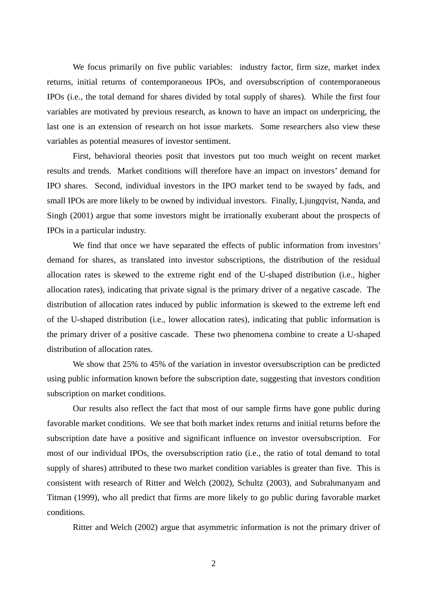We focus primarily on five public variables: industry factor, firm size, market index returns, initial returns of contemporaneous IPOs, and oversubscription of contemporaneous IPOs (i.e., the total demand for shares divided by total supply of shares). While the first four variables are motivated by previous research, as known to have an impact on underpricing, the last one is an extension of research on hot issue markets. Some researchers also view these variables as potential measures of investor sentiment.

First, behavioral theories posit that investors put too much weight on recent market results and trends. Market conditions will therefore have an impact on investors' demand for IPO shares. Second, individual investors in the IPO market tend to be swayed by fads, and small IPOs are more likely to be owned by individual investors. Finally, Ljungqvist, Nanda, and Singh (2001) argue that some investors might be irrationally exuberant about the prospects of IPOs in a particular industry.

We find that once we have separated the effects of public information from investors' demand for shares, as translated into investor subscriptions, the distribution of the residual allocation rates is skewed to the extreme right end of the U-shaped distribution (i.e., higher allocation rates), indicating that private signal is the primary driver of a negative cascade. The distribution of allocation rates induced by public information is skewed to the extreme left end of the U-shaped distribution (i.e., lower allocation rates), indicating that public information is the primary driver of a positive cascade. These two phenomena combine to create a U-shaped distribution of allocation rates.

We show that 25% to 45% of the variation in investor oversubscription can be predicted using public information known before the subscription date, suggesting that investors condition subscription on market conditions.

Our results also reflect the fact that most of our sample firms have gone public during favorable market conditions. We see that both market index returns and initial returns before the subscription date have a positive and significant influence on investor oversubscription. For most of our individual IPOs, the oversubscription ratio (i.e., the ratio of total demand to total supply of shares) attributed to these two market condition variables is greater than five. This is consistent with research of Ritter and Welch (2002), Schultz (2003), and Subrahmanyam and Titman (1999), who all predict that firms are more likely to go public during favorable market conditions.

Ritter and Welch (2002) argue that asymmetric information is not the primary driver of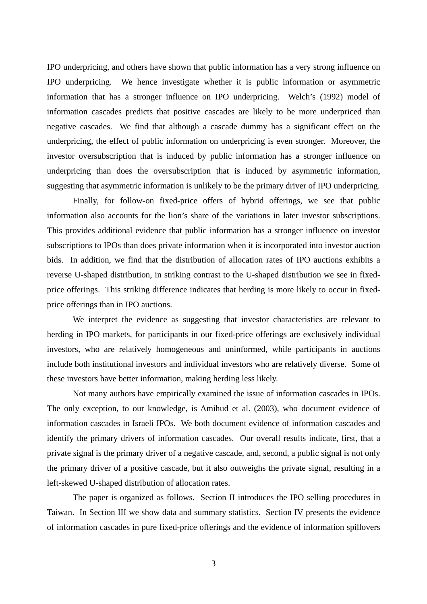IPO underpricing, and others have shown that public information has a very strong influence on IPO underpricing. We hence investigate whether it is public information or asymmetric information that has a stronger influence on IPO underpricing. Welch's (1992) model of information cascades predicts that positive cascades are likely to be more underpriced than negative cascades. We find that although a cascade dummy has a significant effect on the underpricing, the effect of public information on underpricing is even stronger. Moreover, the investor oversubscription that is induced by public information has a stronger influence on underpricing than does the oversubscription that is induced by asymmetric information, suggesting that asymmetric information is unlikely to be the primary driver of IPO underpricing.

Finally, for follow-on fixed-price offers of hybrid offerings, we see that public information also accounts for the lion's share of the variations in later investor subscriptions. This provides additional evidence that public information has a stronger influence on investor subscriptions to IPOs than does private information when it is incorporated into investor auction bids. In addition, we find that the distribution of allocation rates of IPO auctions exhibits a reverse U-shaped distribution, in striking contrast to the U-shaped distribution we see in fixedprice offerings. This striking difference indicates that herding is more likely to occur in fixedprice offerings than in IPO auctions.

We interpret the evidence as suggesting that investor characteristics are relevant to herding in IPO markets, for participants in our fixed-price offerings are exclusively individual investors, who are relatively homogeneous and uninformed, while participants in auctions include both institutional investors and individual investors who are relatively diverse. Some of these investors have better information, making herding less likely.

Not many authors have empirically examined the issue of information cascades in IPOs. The only exception, to our knowledge, is Amihud et al. (2003), who document evidence of information cascades in Israeli IPOs. We both document evidence of information cascades and identify the primary drivers of information cascades. Our overall results indicate, first, that a private signal is the primary driver of a negative cascade, and, second, a public signal is not only the primary driver of a positive cascade, but it also outweighs the private signal, resulting in a left-skewed U-shaped distribution of allocation rates.

The paper is organized as follows. Section II introduces the IPO selling procedures in Taiwan. In Section III we show data and summary statistics. Section IV presents the evidence of information cascades in pure fixed-price offerings and the evidence of information spillovers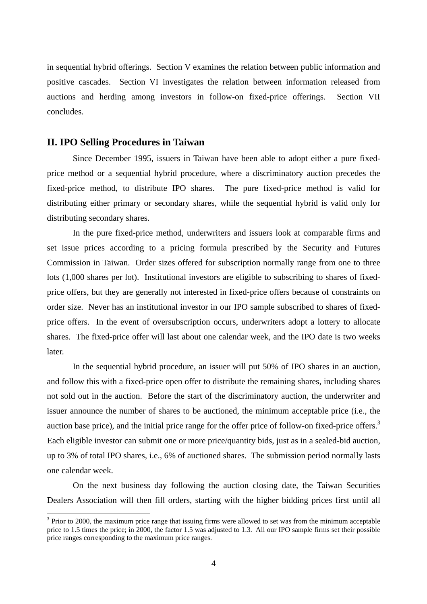in sequential hybrid offerings. Section V examines the relation between public information and positive cascades. Section VI investigates the relation between information released from auctions and herding among investors in follow-on fixed-price offerings. Section VII concludes.

## **II. IPO Selling Procedures in Taiwan**

 $\overline{a}$ 

Since December 1995, issuers in Taiwan have been able to adopt either a pure fixedprice method or a sequential hybrid procedure, where a discriminatory auction precedes the fixed-price method, to distribute IPO shares. The pure fixed-price method is valid for distributing either primary or secondary shares, while the sequential hybrid is valid only for distributing secondary shares.

In the pure fixed-price method, underwriters and issuers look at comparable firms and set issue prices according to a pricing formula prescribed by the Security and Futures Commission in Taiwan. Order sizes offered for subscription normally range from one to three lots (1,000 shares per lot). Institutional investors are eligible to subscribing to shares of fixedprice offers, but they are generally not interested in fixed-price offers because of constraints on order size. Never has an institutional investor in our IPO sample subscribed to shares of fixedprice offers. In the event of oversubscription occurs, underwriters adopt a lottery to allocate shares. The fixed-price offer will last about one calendar week, and the IPO date is two weeks later.

In the sequential hybrid procedure, an issuer will put 50% of IPO shares in an auction, and follow this with a fixed-price open offer to distribute the remaining shares, including shares not sold out in the auction. Before the start of the discriminatory auction, the underwriter and issuer announce the number of shares to be auctioned, the minimum acceptable price (i.e., the auction base price), and the initial price range for the offer price of follow-on fixed-price offers.<sup>3</sup> Each eligible investor can submit one or more price/quantity bids, just as in a sealed-bid auction, up to 3% of total IPO shares, i.e., 6% of auctioned shares. The submission period normally lasts one calendar week.

On the next business day following the auction closing date, the Taiwan Securities Dealers Association will then fill orders, starting with the higher bidding prices first until all

 $3$  Prior to 2000, the maximum price range that issuing firms were allowed to set was from the minimum acceptable price to 1.5 times the price; in 2000, the factor 1.5 was adjusted to 1.3. All our IPO sample firms set their possible price ranges corresponding to the maximum price ranges.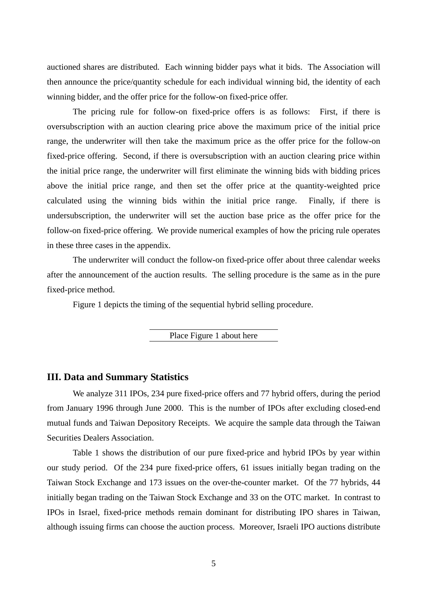auctioned shares are distributed. Each winning bidder pays what it bids. The Association will then announce the price/quantity schedule for each individual winning bid, the identity of each winning bidder, and the offer price for the follow-on fixed-price offer.

The pricing rule for follow-on fixed-price offers is as follows: First, if there is oversubscription with an auction clearing price above the maximum price of the initial price range, the underwriter will then take the maximum price as the offer price for the follow-on fixed-price offering. Second, if there is oversubscription with an auction clearing price within the initial price range, the underwriter will first eliminate the winning bids with bidding prices above the initial price range, and then set the offer price at the quantity-weighted price calculated using the winning bids within the initial price range. Finally, if there is undersubscription, the underwriter will set the auction base price as the offer price for the follow-on fixed-price offering. We provide numerical examples of how the pricing rule operates in these three cases in the appendix.

The underwriter will conduct the follow-on fixed-price offer about three calendar weeks after the announcement of the auction results. The selling procedure is the same as in the pure fixed-price method.

Figure 1 depicts the timing of the sequential hybrid selling procedure.

Place Figure 1 about here

## **III. Data and Summary Statistics**

We analyze 311 IPOs, 234 pure fixed-price offers and 77 hybrid offers, during the period from January 1996 through June 2000. This is the number of IPOs after excluding closed-end mutual funds and Taiwan Depository Receipts. We acquire the sample data through the Taiwan Securities Dealers Association.

Table 1 shows the distribution of our pure fixed-price and hybrid IPOs by year within our study period. Of the 234 pure fixed-price offers, 61 issues initially began trading on the Taiwan Stock Exchange and 173 issues on the over-the-counter market. Of the 77 hybrids, 44 initially began trading on the Taiwan Stock Exchange and 33 on the OTC market. In contrast to IPOs in Israel, fixed-price methods remain dominant for distributing IPO shares in Taiwan, although issuing firms can choose the auction process. Moreover, Israeli IPO auctions distribute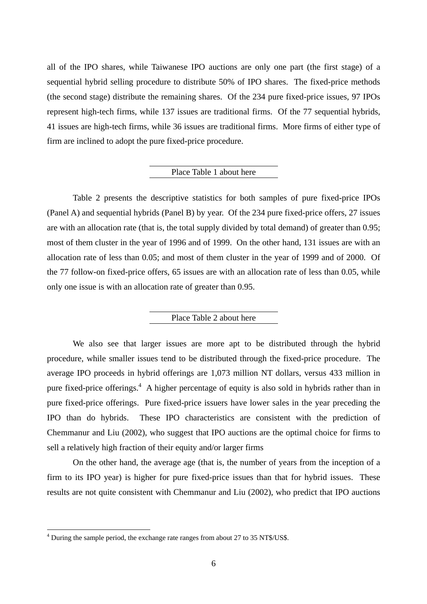all of the IPO shares, while Taiwanese IPO auctions are only one part (the first stage) of a sequential hybrid selling procedure to distribute 50% of IPO shares. The fixed-price methods (the second stage) distribute the remaining shares. Of the 234 pure fixed-price issues, 97 IPOs represent high-tech firms, while 137 issues are traditional firms. Of the 77 sequential hybrids, 41 issues are high-tech firms, while 36 issues are traditional firms. More firms of either type of firm are inclined to adopt the pure fixed-price procedure.

## Place Table 1 about here

Table 2 presents the descriptive statistics for both samples of pure fixed-price IPOs (Panel A) and sequential hybrids (Panel B) by year. Of the 234 pure fixed-price offers, 27 issues are with an allocation rate (that is, the total supply divided by total demand) of greater than 0.95; most of them cluster in the year of 1996 and of 1999. On the other hand, 131 issues are with an allocation rate of less than 0.05; and most of them cluster in the year of 1999 and of 2000. Of the 77 follow-on fixed-price offers, 65 issues are with an allocation rate of less than 0.05, while only one issue is with an allocation rate of greater than 0.95.

## Place Table 2 about here

We also see that larger issues are more apt to be distributed through the hybrid procedure, while smaller issues tend to be distributed through the fixed-price procedure. The average IPO proceeds in hybrid offerings are 1,073 million NT dollars, versus 433 million in pure fixed-price offerings.<sup>4</sup> A higher percentage of equity is also sold in hybrids rather than in pure fixed-price offerings. Pure fixed-price issuers have lower sales in the year preceding the IPO than do hybrids. These IPO characteristics are consistent with the prediction of Chemmanur and Liu (2002), who suggest that IPO auctions are the optimal choice for firms to sell a relatively high fraction of their equity and/or larger firms

On the other hand, the average age (that is, the number of years from the inception of a firm to its IPO year) is higher for pure fixed-price issues than that for hybrid issues. These results are not quite consistent with Chemmanur and Liu (2002), who predict that IPO auctions

 $\overline{a}$ 

<sup>&</sup>lt;sup>4</sup> During the sample period, the exchange rate ranges from about 27 to 35 NT\$/US\$.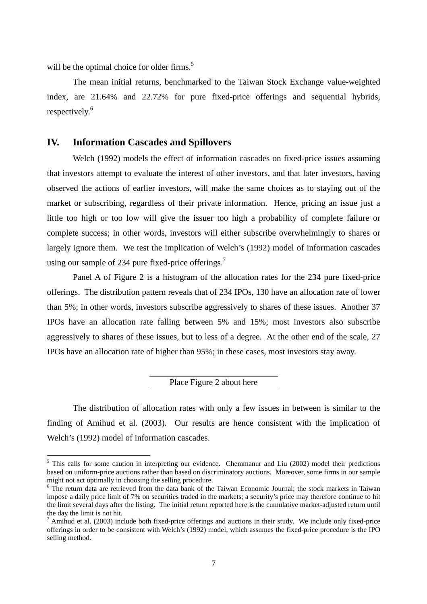will be the optimal choice for older firms.<sup>5</sup>

 $\overline{a}$ 

The mean initial returns, benchmarked to the Taiwan Stock Exchange value-weighted index, are 21.64% and 22.72% for pure fixed-price offerings and sequential hybrids, respectively. 6

## **IV. Information Cascades and Spillovers**

Welch (1992) models the effect of information cascades on fixed-price issues assuming that investors attempt to evaluate the interest of other investors, and that later investors, having observed the actions of earlier investors, will make the same choices as to staying out of the market or subscribing, regardless of their private information. Hence, pricing an issue just a little too high or too low will give the issuer too high a probability of complete failure or complete success; in other words, investors will either subscribe overwhelmingly to shares or largely ignore them. We test the implication of Welch's (1992) model of information cascades using our sample of 234 pure fixed-price offerings.<sup>7</sup>

Panel A of Figure 2 is a histogram of the allocation rates for the 234 pure fixed-price offerings. The distribution pattern reveals that of 234 IPOs, 130 have an allocation rate of lower than 5%; in other words, investors subscribe aggressively to shares of these issues. Another 37 IPOs have an allocation rate falling between 5% and 15%; most investors also subscribe aggressively to shares of these issues, but to less of a degree. At the other end of the scale, 27 IPOs have an allocation rate of higher than 95%; in these cases, most investors stay away.

## Place Figure 2 about here

The distribution of allocation rates with only a few issues in between is similar to the finding of Amihud et al. (2003). Our results are hence consistent with the implication of Welch's (1992) model of information cascades.

<sup>&</sup>lt;sup>5</sup> This calls for some caution in interpreting our evidence. Chemmanur and Liu (2002) model their predictions based on uniform-price auctions rather than based on discriminatory auctions. Moreover, some firms in our sample might not act optimally in choosing the selling procedure.<br><sup>6</sup> The return data are retrieved from the data bank of the Taiwan Economic Journal; the stock markets in Taiwan

impose a daily price limit of 7% on securities traded in the markets; a security's price may therefore continue to hit the limit several days after the listing. The initial return reported here is the cumulative market-adjusted return until the day the limit is not hit.<br><sup>7</sup> Amihud et al. (2003) include both fixed-price offerings and auctions in their study. We include only fixed-price

offerings in order to be consistent with Welch's (1992) model, which assumes the fixed-price procedure is the IPO selling method.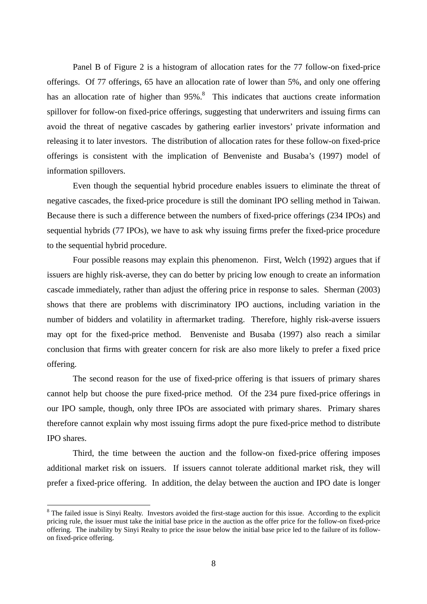Panel B of Figure 2 is a histogram of allocation rates for the 77 follow-on fixed-price offerings. Of 77 offerings, 65 have an allocation rate of lower than 5%, and only one offering has an allocation rate of higher than 95%.<sup>8</sup> This indicates that auctions create information spillover for follow-on fixed-price offerings, suggesting that underwriters and issuing firms can avoid the threat of negative cascades by gathering earlier investors' private information and releasing it to later investors. The distribution of allocation rates for these follow-on fixed-price offerings is consistent with the implication of Benveniste and Busaba's (1997) model of information spillovers.

Even though the sequential hybrid procedure enables issuers to eliminate the threat of negative cascades, the fixed-price procedure is still the dominant IPO selling method in Taiwan. Because there is such a difference between the numbers of fixed-price offerings (234 IPOs) and sequential hybrids (77 IPOs), we have to ask why issuing firms prefer the fixed-price procedure to the sequential hybrid procedure.

Four possible reasons may explain this phenomenon. First, Welch (1992) argues that if issuers are highly risk-averse, they can do better by pricing low enough to create an information cascade immediately, rather than adjust the offering price in response to sales. Sherman (2003) shows that there are problems with discriminatory IPO auctions, including variation in the number of bidders and volatility in aftermarket trading. Therefore, highly risk-averse issuers may opt for the fixed-price method. Benveniste and Busaba (1997) also reach a similar conclusion that firms with greater concern for risk are also more likely to prefer a fixed price offering.

The second reason for the use of fixed-price offering is that issuers of primary shares cannot help but choose the pure fixed-price method. Of the 234 pure fixed-price offerings in our IPO sample, though, only three IPOs are associated with primary shares. Primary shares therefore cannot explain why most issuing firms adopt the pure fixed-price method to distribute IPO shares.

Third, the time between the auction and the follow-on fixed-price offering imposes additional market risk on issuers. If issuers cannot tolerate additional market risk, they will prefer a fixed-price offering. In addition, the delay between the auction and IPO date is longer

 $\overline{a}$ 

<sup>&</sup>lt;sup>8</sup> The failed issue is Sinyi Realty. Investors avoided the first-stage auction for this issue. According to the explicit pricing rule, the issuer must take the initial base price in the auction as the offer price for the follow-on fixed-price offering. The inability by Sinyi Realty to price the issue below the initial base price led to the failure of its followon fixed-price offering.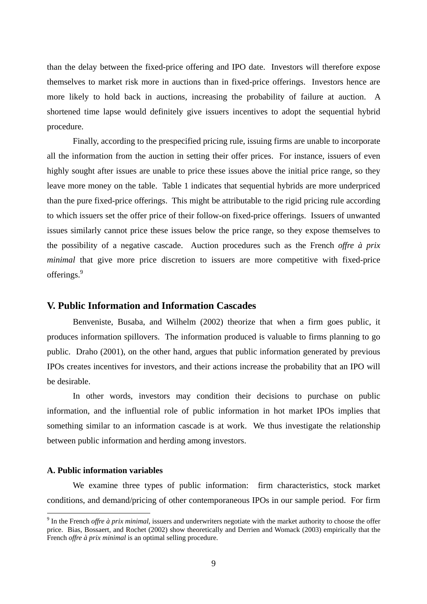than the delay between the fixed-price offering and IPO date. Investors will therefore expose themselves to market risk more in auctions than in fixed-price offerings. Investors hence are more likely to hold back in auctions, increasing the probability of failure at auction. A shortened time lapse would definitely give issuers incentives to adopt the sequential hybrid procedure.

Finally, according to the prespecified pricing rule, issuing firms are unable to incorporate all the information from the auction in setting their offer prices. For instance, issuers of even highly sought after issues are unable to price these issues above the initial price range, so they leave more money on the table. Table 1 indicates that sequential hybrids are more underpriced than the pure fixed-price offerings. This might be attributable to the rigid pricing rule according to which issuers set the offer price of their follow-on fixed-price offerings. Issuers of unwanted issues similarly cannot price these issues below the price range, so they expose themselves to the possibility of a negative cascade. Auction procedures such as the French *offre à prix minimal* that give more price discretion to issuers are more competitive with fixed-price offerings.<sup>9</sup>

# **V. Public Information and Information Cascades**

Benveniste, Busaba, and Wilhelm (2002) theorize that when a firm goes public, it produces information spillovers. The information produced is valuable to firms planning to go public. Draho (2001), on the other hand, argues that public information generated by previous IPOs creates incentives for investors, and their actions increase the probability that an IPO will be desirable.

In other words, investors may condition their decisions to purchase on public information, and the influential role of public information in hot market IPOs implies that something similar to an information cascade is at work. We thus investigate the relationship between public information and herding among investors.

## **A. Public information variables**

 $\overline{a}$ 

We examine three types of public information: firm characteristics, stock market conditions, and demand/pricing of other contemporaneous IPOs in our sample period. For firm

<sup>9</sup> In the French *offre à prix minimal*, issuers and underwriters negotiate with the market authority to choose the offer price. Bias, Bossaert, and Rochet (2002) show theoretically and Derrien and Womack (2003) empirically that the French *offre à prix minimal* is an optimal selling procedure.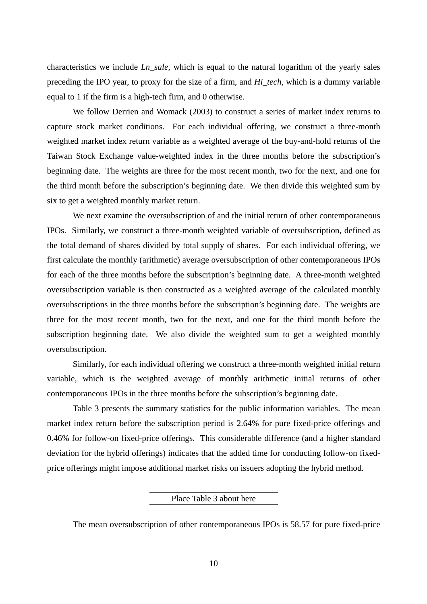characteristics we include *Ln\_sale*, which is equal to the natural logarithm of the yearly sales preceding the IPO year, to proxy for the size of a firm, and *Hi\_tech*, which is a dummy variable equal to 1 if the firm is a high-tech firm, and 0 otherwise.

We follow Derrien and Womack (2003) to construct a series of market index returns to capture stock market conditions. For each individual offering, we construct a three-month weighted market index return variable as a weighted average of the buy-and-hold returns of the Taiwan Stock Exchange value-weighted index in the three months before the subscription's beginning date. The weights are three for the most recent month, two for the next, and one for the third month before the subscription's beginning date. We then divide this weighted sum by six to get a weighted monthly market return.

We next examine the oversubscription of and the initial return of other contemporaneous IPOs. Similarly, we construct a three-month weighted variable of oversubscription, defined as the total demand of shares divided by total supply of shares. For each individual offering, we first calculate the monthly (arithmetic) average oversubscription of other contemporaneous IPOs for each of the three months before the subscription's beginning date. A three-month weighted oversubscription variable is then constructed as a weighted average of the calculated monthly oversubscriptions in the three months before the subscription's beginning date. The weights are three for the most recent month, two for the next, and one for the third month before the subscription beginning date. We also divide the weighted sum to get a weighted monthly oversubscription.

Similarly, for each individual offering we construct a three-month weighted initial return variable, which is the weighted average of monthly arithmetic initial returns of other contemporaneous IPOs in the three months before the subscription's beginning date.

Table 3 presents the summary statistics for the public information variables. The mean market index return before the subscription period is 2.64% for pure fixed-price offerings and 0.46% for follow-on fixed-price offerings. This considerable difference (and a higher standard deviation for the hybrid offerings) indicates that the added time for conducting follow-on fixedprice offerings might impose additional market risks on issuers adopting the hybrid method.

Place Table 3 about here

The mean oversubscription of other contemporaneous IPOs is 58.57 for pure fixed-price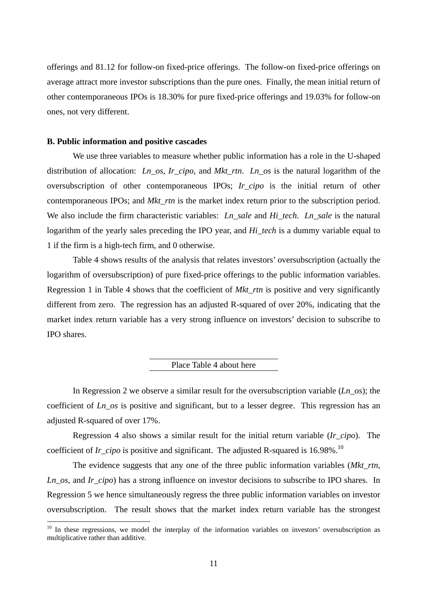offerings and 81.12 for follow-on fixed-price offerings. The follow-on fixed-price offerings on average attract more investor subscriptions than the pure ones. Finally, the mean initial return of other contemporaneous IPOs is 18.30% for pure fixed-price offerings and 19.03% for follow-on ones, not very different.

## **B. Public information and positive cascades**

 $\overline{a}$ 

We use three variables to measure whether public information has a role in the U-shaped distribution of allocation: *Ln\_os*, *Ir\_cipo*, and *Mkt\_rtn*. *Ln\_os* is the natural logarithm of the oversubscription of other contemporaneous IPOs; *Ir\_cipo* is the initial return of other contemporaneous IPOs; and *Mkt* rtn is the market index return prior to the subscription period. We also include the firm characteristic variables: *Ln\_sale* and *Hi\_tech*. *Ln\_sale* is the natural logarithm of the yearly sales preceding the IPO year, and *Hi\_tech* is a dummy variable equal to 1 if the firm is a high-tech firm, and 0 otherwise.

Table 4 shows results of the analysis that relates investors' oversubscription (actually the logarithm of oversubscription) of pure fixed-price offerings to the public information variables. Regression 1 in Table 4 shows that the coefficient of *Mkt\_rtn* is positive and very significantly different from zero. The regression has an adjusted R-squared of over 20%, indicating that the market index return variable has a very strong influence on investors' decision to subscribe to IPO shares.

## Place Table 4 about here

In Regression 2 we observe a similar result for the oversubscription variable (*Ln*\_*os*); the coefficient of *Ln*\_*os* is positive and significant, but to a lesser degree. This regression has an adjusted R-squared of over 17%.

Regression 4 also shows a similar result for the initial return variable (*Ir\_cipo*). The coefficient of *Ir cipo* is positive and significant. The adjusted R-squared is 16.98%.<sup>10</sup>

The evidence suggests that any one of the three public information variables (*Mkt\_rtn*, *Ln\_os*, and *Ir\_cipo*) has a strong influence on investor decisions to subscribe to IPO shares. In Regression 5 we hence simultaneously regress the three public information variables on investor oversubscription. The result shows that the market index return variable has the strongest

<sup>&</sup>lt;sup>10</sup> In these regressions, we model the interplay of the information variables on investors' oversubscription as multiplicative rather than additive.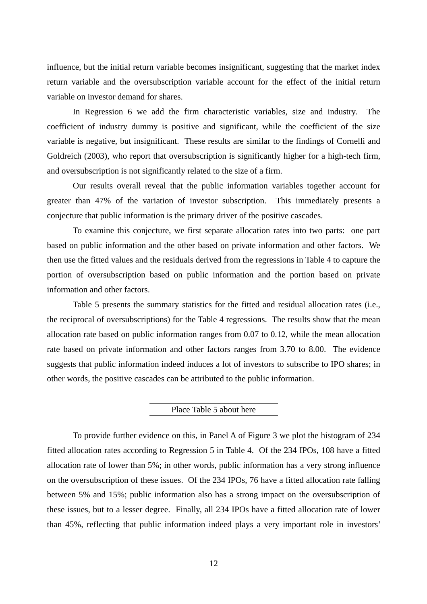influence, but the initial return variable becomes insignificant, suggesting that the market index return variable and the oversubscription variable account for the effect of the initial return variable on investor demand for shares.

In Regression 6 we add the firm characteristic variables, size and industry. The coefficient of industry dummy is positive and significant, while the coefficient of the size variable is negative, but insignificant. These results are similar to the findings of Cornelli and Goldreich (2003), who report that oversubscription is significantly higher for a high-tech firm, and oversubscription is not significantly related to the size of a firm.

Our results overall reveal that the public information variables together account for greater than 47% of the variation of investor subscription. This immediately presents a conjecture that public information is the primary driver of the positive cascades.

To examine this conjecture, we first separate allocation rates into two parts: one part based on public information and the other based on private information and other factors. We then use the fitted values and the residuals derived from the regressions in Table 4 to capture the portion of oversubscription based on public information and the portion based on private information and other factors.

Table 5 presents the summary statistics for the fitted and residual allocation rates (i.e., the reciprocal of oversubscriptions) for the Table 4 regressions. The results show that the mean allocation rate based on public information ranges from 0.07 to 0.12, while the mean allocation rate based on private information and other factors ranges from 3.70 to 8.00. The evidence suggests that public information indeed induces a lot of investors to subscribe to IPO shares; in other words, the positive cascades can be attributed to the public information.

## Place Table 5 about here

To provide further evidence on this, in Panel A of Figure 3 we plot the histogram of 234 fitted allocation rates according to Regression 5 in Table 4. Of the 234 IPOs, 108 have a fitted allocation rate of lower than 5%; in other words, public information has a very strong influence on the oversubscription of these issues. Of the 234 IPOs, 76 have a fitted allocation rate falling between 5% and 15%; public information also has a strong impact on the oversubscription of these issues, but to a lesser degree. Finally, all 234 IPOs have a fitted allocation rate of lower than 45%, reflecting that public information indeed plays a very important role in investors'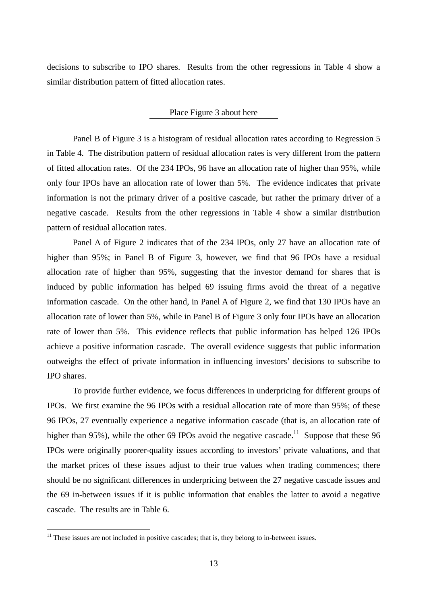decisions to subscribe to IPO shares. Results from the other regressions in Table 4 show a similar distribution pattern of fitted allocation rates.

### Place Figure 3 about here

Panel B of Figure 3 is a histogram of residual allocation rates according to Regression 5 in Table 4. The distribution pattern of residual allocation rates is very different from the pattern of fitted allocation rates. Of the 234 IPOs, 96 have an allocation rate of higher than 95%, while only four IPOs have an allocation rate of lower than 5%. The evidence indicates that private information is not the primary driver of a positive cascade, but rather the primary driver of a negative cascade. Results from the other regressions in Table 4 show a similar distribution pattern of residual allocation rates.

Panel A of Figure 2 indicates that of the 234 IPOs, only 27 have an allocation rate of higher than 95%; in Panel B of Figure 3, however, we find that 96 IPOs have a residual allocation rate of higher than 95%, suggesting that the investor demand for shares that is induced by public information has helped 69 issuing firms avoid the threat of a negative information cascade. On the other hand, in Panel A of Figure 2, we find that 130 IPOs have an allocation rate of lower than 5%, while in Panel B of Figure 3 only four IPOs have an allocation rate of lower than 5%. This evidence reflects that public information has helped 126 IPOs achieve a positive information cascade. The overall evidence suggests that public information outweighs the effect of private information in influencing investors' decisions to subscribe to IPO shares.

To provide further evidence, we focus differences in underpricing for different groups of IPOs. We first examine the 96 IPOs with a residual allocation rate of more than 95%; of these 96 IPOs, 27 eventually experience a negative information cascade (that is, an allocation rate of higher than 95%), while the other 69 IPOs avoid the negative cascade.<sup>11</sup> Suppose that these 96 IPOs were originally poorer-quality issues according to investors' private valuations, and that the market prices of these issues adjust to their true values when trading commences; there should be no significant differences in underpricing between the 27 negative cascade issues and the 69 in-between issues if it is public information that enables the latter to avoid a negative cascade. The results are in Table 6.

 $\overline{a}$ 

 $11$  These issues are not included in positive cascades; that is, they belong to in-between issues.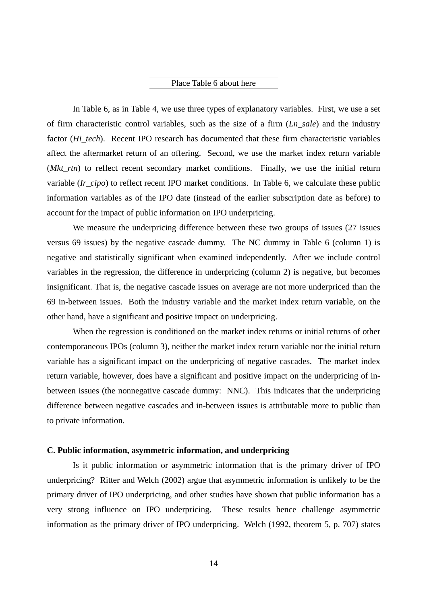## Place Table 6 about here

In Table 6, as in Table 4, we use three types of explanatory variables. First, we use a set of firm characteristic control variables, such as the size of a firm (*Ln\_sale*) and the industry factor (*Hi\_tech*). Recent IPO research has documented that these firm characteristic variables affect the aftermarket return of an offering. Second, we use the market index return variable (*Mkt\_rtn*) to reflect recent secondary market conditions. Finally, we use the initial return variable (*Ir\_cipo*) to reflect recent IPO market conditions. In Table 6, we calculate these public information variables as of the IPO date (instead of the earlier subscription date as before) to account for the impact of public information on IPO underpricing.

We measure the underpricing difference between these two groups of issues (27 issues versus 69 issues) by the negative cascade dummy. The NC dummy in Table 6 (column 1) is negative and statistically significant when examined independently. After we include control variables in the regression, the difference in underpricing (column 2) is negative, but becomes insignificant. That is, the negative cascade issues on average are not more underpriced than the 69 in-between issues. Both the industry variable and the market index return variable, on the other hand, have a significant and positive impact on underpricing.

When the regression is conditioned on the market index returns or initial returns of other contemporaneous IPOs (column 3), neither the market index return variable nor the initial return variable has a significant impact on the underpricing of negative cascades. The market index return variable, however, does have a significant and positive impact on the underpricing of inbetween issues (the nonnegative cascade dummy: NNC). This indicates that the underpricing difference between negative cascades and in-between issues is attributable more to public than to private information.

## **C. Public information, asymmetric information, and underpricing**

Is it public information or asymmetric information that is the primary driver of IPO underpricing? Ritter and Welch (2002) argue that asymmetric information is unlikely to be the primary driver of IPO underpricing, and other studies have shown that public information has a very strong influence on IPO underpricing. These results hence challenge asymmetric information as the primary driver of IPO underpricing. Welch (1992, theorem 5, p. 707) states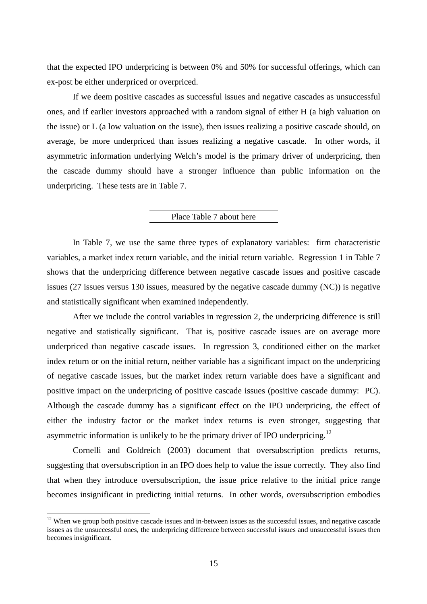that the expected IPO underpricing is between 0% and 50% for successful offerings, which can ex-post be either underpriced or overpriced.

If we deem positive cascades as successful issues and negative cascades as unsuccessful ones, and if earlier investors approached with a random signal of either H (a high valuation on the issue) or L (a low valuation on the issue), then issues realizing a positive cascade should, on average, be more underpriced than issues realizing a negative cascade. In other words, if asymmetric information underlying Welch's model is the primary driver of underpricing, then the cascade dummy should have a stronger influence than public information on the underpricing. These tests are in Table 7.

## Place Table 7 about here

In Table 7, we use the same three types of explanatory variables: firm characteristic variables, a market index return variable, and the initial return variable. Regression 1 in Table 7 shows that the underpricing difference between negative cascade issues and positive cascade issues (27 issues versus 130 issues, measured by the negative cascade dummy (NC)) is negative and statistically significant when examined independently.

After we include the control variables in regression 2, the underpricing difference is still negative and statistically significant. That is, positive cascade issues are on average more underpriced than negative cascade issues. In regression 3, conditioned either on the market index return or on the initial return, neither variable has a significant impact on the underpricing of negative cascade issues, but the market index return variable does have a significant and positive impact on the underpricing of positive cascade issues (positive cascade dummy: PC). Although the cascade dummy has a significant effect on the IPO underpricing, the effect of either the industry factor or the market index returns is even stronger, suggesting that asymmetric information is unlikely to be the primary driver of IPO underpricing.<sup>12</sup>

Cornelli and Goldreich (2003) document that oversubscription predicts returns, suggesting that oversubscription in an IPO does help to value the issue correctly. They also find that when they introduce oversubscription, the issue price relative to the initial price range becomes insignificant in predicting initial returns. In other words, oversubscription embodies

 $\overline{a}$ 

 $12$  When we group both positive cascade issues and in-between issues as the successful issues, and negative cascade issues as the unsuccessful ones, the underpricing difference between successful issues and unsuccessful issues then becomes insignificant.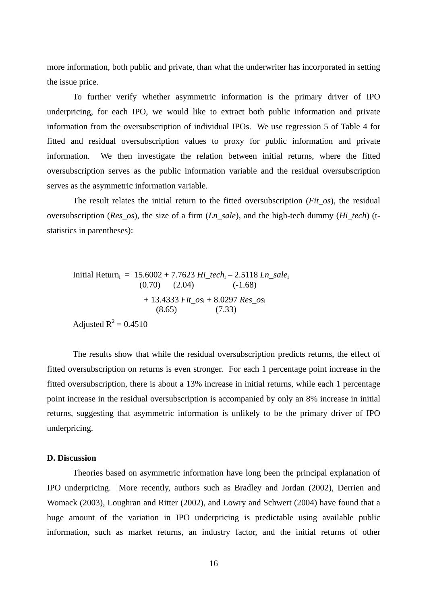more information, both public and private, than what the underwriter has incorporated in setting the issue price.

To further verify whether asymmetric information is the primary driver of IPO underpricing, for each IPO, we would like to extract both public information and private information from the oversubscription of individual IPOs. We use regression 5 of Table 4 for fitted and residual oversubscription values to proxy for public information and private information. We then investigate the relation between initial returns, where the fitted oversubscription serves as the public information variable and the residual oversubscription serves as the asymmetric information variable.

The result relates the initial return to the fitted oversubscription (*Fit\_os*), the residual oversubscription (*Res\_os*), the size of a firm (*Ln\_sale*), and the high-tech dummy (*Hi\_tech*) (tstatistics in parentheses):

Initial Returni = 15.6002 + 7.7623 *Hi\_tech*i – 2.5118 *Ln\_sale*<sup>i</sup> (0.70) (2.04) (-1.68) + 13.4333 *Fit\_os*i + 8.0297 *Res\_os*<sup>i</sup> (8.65) (7.33) Adjusted R2 = 0.4510

The results show that while the residual oversubscription predicts returns, the effect of fitted oversubscription on returns is even stronger. For each 1 percentage point increase in the fitted oversubscription, there is about a 13% increase in initial returns, while each 1 percentage point increase in the residual oversubscription is accompanied by only an 8% increase in initial returns, suggesting that asymmetric information is unlikely to be the primary driver of IPO underpricing.

#### **D. Discussion**

Theories based on asymmetric information have long been the principal explanation of IPO underpricing. More recently, authors such as Bradley and Jordan (2002), Derrien and Womack (2003), Loughran and Ritter (2002), and Lowry and Schwert (2004) have found that a huge amount of the variation in IPO underpricing is predictable using available public information, such as market returns, an industry factor, and the initial returns of other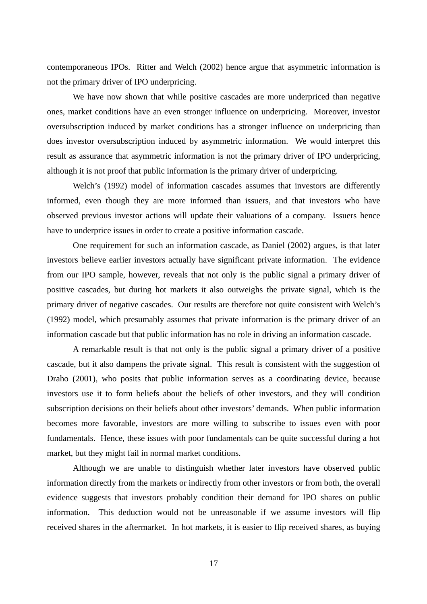contemporaneous IPOs. Ritter and Welch (2002) hence argue that asymmetric information is not the primary driver of IPO underpricing.

We have now shown that while positive cascades are more underpriced than negative ones, market conditions have an even stronger influence on underpricing. Moreover, investor oversubscription induced by market conditions has a stronger influence on underpricing than does investor oversubscription induced by asymmetric information. We would interpret this result as assurance that asymmetric information is not the primary driver of IPO underpricing, although it is not proof that public information is the primary driver of underpricing.

Welch's (1992) model of information cascades assumes that investors are differently informed, even though they are more informed than issuers, and that investors who have observed previous investor actions will update their valuations of a company. Issuers hence have to underprice issues in order to create a positive information cascade.

One requirement for such an information cascade, as Daniel (2002) argues, is that later investors believe earlier investors actually have significant private information. The evidence from our IPO sample, however, reveals that not only is the public signal a primary driver of positive cascades, but during hot markets it also outweighs the private signal, which is the primary driver of negative cascades. Our results are therefore not quite consistent with Welch's (1992) model, which presumably assumes that private information is the primary driver of an information cascade but that public information has no role in driving an information cascade.

A remarkable result is that not only is the public signal a primary driver of a positive cascade, but it also dampens the private signal. This result is consistent with the suggestion of Draho (2001), who posits that public information serves as a coordinating device, because investors use it to form beliefs about the beliefs of other investors, and they will condition subscription decisions on their beliefs about other investors' demands. When public information becomes more favorable, investors are more willing to subscribe to issues even with poor fundamentals. Hence, these issues with poor fundamentals can be quite successful during a hot market, but they might fail in normal market conditions.

Although we are unable to distinguish whether later investors have observed public information directly from the markets or indirectly from other investors or from both, the overall evidence suggests that investors probably condition their demand for IPO shares on public information. This deduction would not be unreasonable if we assume investors will flip received shares in the aftermarket. In hot markets, it is easier to flip received shares, as buying

17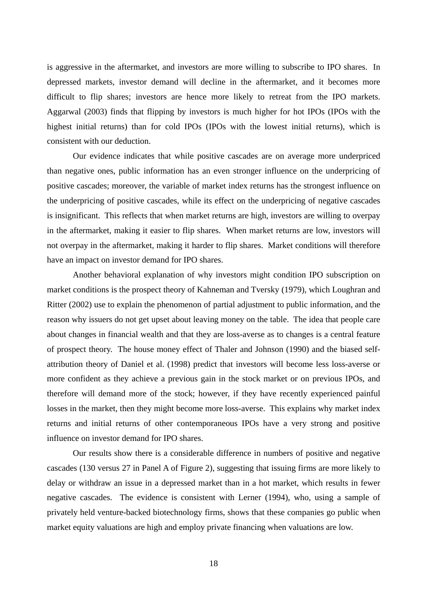is aggressive in the aftermarket, and investors are more willing to subscribe to IPO shares. In depressed markets, investor demand will decline in the aftermarket, and it becomes more difficult to flip shares; investors are hence more likely to retreat from the IPO markets. Aggarwal (2003) finds that flipping by investors is much higher for hot IPOs (IPOs with the highest initial returns) than for cold IPOs (IPOs with the lowest initial returns), which is consistent with our deduction.

Our evidence indicates that while positive cascades are on average more underpriced than negative ones, public information has an even stronger influence on the underpricing of positive cascades; moreover, the variable of market index returns has the strongest influence on the underpricing of positive cascades, while its effect on the underpricing of negative cascades is insignificant. This reflects that when market returns are high, investors are willing to overpay in the aftermarket, making it easier to flip shares. When market returns are low, investors will not overpay in the aftermarket, making it harder to flip shares. Market conditions will therefore have an impact on investor demand for IPO shares.

Another behavioral explanation of why investors might condition IPO subscription on market conditions is the prospect theory of Kahneman and Tversky (1979), which Loughran and Ritter (2002) use to explain the phenomenon of partial adjustment to public information, and the reason why issuers do not get upset about leaving money on the table. The idea that people care about changes in financial wealth and that they are loss-averse as to changes is a central feature of prospect theory. The house money effect of Thaler and Johnson (1990) and the biased selfattribution theory of Daniel et al. (1998) predict that investors will become less loss-averse or more confident as they achieve a previous gain in the stock market or on previous IPOs, and therefore will demand more of the stock; however, if they have recently experienced painful losses in the market, then they might become more loss-averse. This explains why market index returns and initial returns of other contemporaneous IPOs have a very strong and positive influence on investor demand for IPO shares.

Our results show there is a considerable difference in numbers of positive and negative cascades (130 versus 27 in Panel A of Figure 2), suggesting that issuing firms are more likely to delay or withdraw an issue in a depressed market than in a hot market, which results in fewer negative cascades. The evidence is consistent with Lerner (1994), who, using a sample of privately held venture-backed biotechnology firms, shows that these companies go public when market equity valuations are high and employ private financing when valuations are low.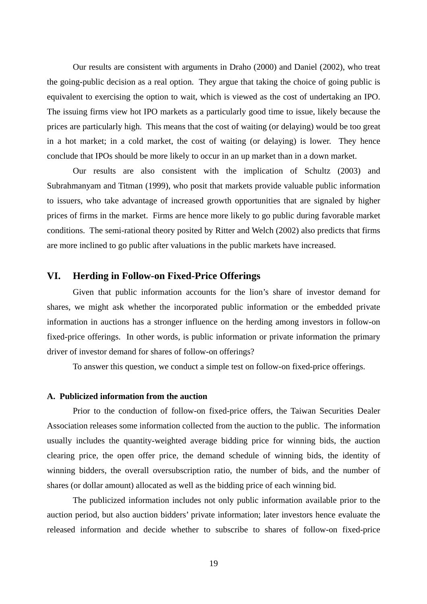Our results are consistent with arguments in Draho (2000) and Daniel (2002), who treat the going-public decision as a real option. They argue that taking the choice of going public is equivalent to exercising the option to wait, which is viewed as the cost of undertaking an IPO. The issuing firms view hot IPO markets as a particularly good time to issue, likely because the prices are particularly high. This means that the cost of waiting (or delaying) would be too great in a hot market; in a cold market, the cost of waiting (or delaying) is lower. They hence conclude that IPOs should be more likely to occur in an up market than in a down market.

Our results are also consistent with the implication of Schultz (2003) and Subrahmanyam and Titman (1999), who posit that markets provide valuable public information to issuers, who take advantage of increased growth opportunities that are signaled by higher prices of firms in the market. Firms are hence more likely to go public during favorable market conditions. The semi-rational theory posited by Ritter and Welch (2002) also predicts that firms are more inclined to go public after valuations in the public markets have increased.

## **VI. Herding in Follow-on Fixed-Price Offerings**

Given that public information accounts for the lion's share of investor demand for shares, we might ask whether the incorporated public information or the embedded private information in auctions has a stronger influence on the herding among investors in follow-on fixed-price offerings. In other words, is public information or private information the primary driver of investor demand for shares of follow-on offerings?

To answer this question, we conduct a simple test on follow-on fixed-price offerings.

## **A. Publicized information from the auction**

Prior to the conduction of follow-on fixed-price offers, the Taiwan Securities Dealer Association releases some information collected from the auction to the public. The information usually includes the quantity-weighted average bidding price for winning bids, the auction clearing price, the open offer price, the demand schedule of winning bids, the identity of winning bidders, the overall oversubscription ratio, the number of bids, and the number of shares (or dollar amount) allocated as well as the bidding price of each winning bid.

The publicized information includes not only public information available prior to the auction period, but also auction bidders' private information; later investors hence evaluate the released information and decide whether to subscribe to shares of follow-on fixed-price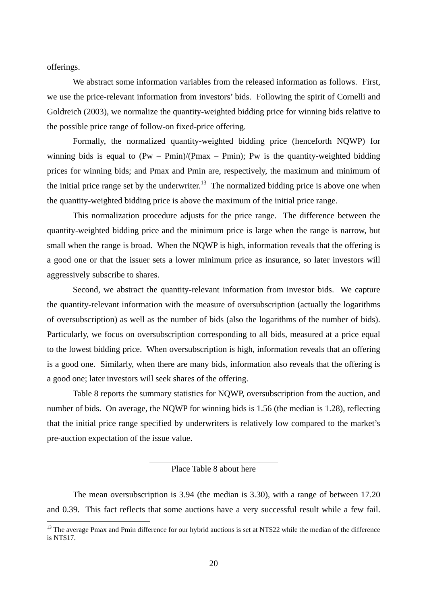offerings.

 $\overline{a}$ 

We abstract some information variables from the released information as follows. First, we use the price-relevant information from investors' bids. Following the spirit of Cornelli and Goldreich (2003), we normalize the quantity-weighted bidding price for winning bids relative to the possible price range of follow-on fixed-price offering.

Formally, the normalized quantity-weighted bidding price (henceforth NQWP) for winning bids is equal to  $(Pw - Pmin)/(Pmax - Pmin)$ ; Pw is the quantity-weighted bidding prices for winning bids; and Pmax and Pmin are, respectively, the maximum and minimum of the initial price range set by the underwriter.<sup>13</sup> The normalized bidding price is above one when the quantity-weighted bidding price is above the maximum of the initial price range.

This normalization procedure adjusts for the price range. The difference between the quantity-weighted bidding price and the minimum price is large when the range is narrow, but small when the range is broad. When the NQWP is high, information reveals that the offering is a good one or that the issuer sets a lower minimum price as insurance, so later investors will aggressively subscribe to shares.

Second, we abstract the quantity-relevant information from investor bids. We capture the quantity-relevant information with the measure of oversubscription (actually the logarithms of oversubscription) as well as the number of bids (also the logarithms of the number of bids). Particularly, we focus on oversubscription corresponding to all bids, measured at a price equal to the lowest bidding price. When oversubscription is high, information reveals that an offering is a good one. Similarly, when there are many bids, information also reveals that the offering is a good one; later investors will seek shares of the offering.

Table 8 reports the summary statistics for NQWP, oversubscription from the auction, and number of bids. On average, the NQWP for winning bids is 1.56 (the median is 1.28), reflecting that the initial price range specified by underwriters is relatively low compared to the market's pre-auction expectation of the issue value.

#### Place Table 8 about here

The mean oversubscription is 3.94 (the median is 3.30), with a range of between 17.20 and 0.39. This fact reflects that some auctions have a very successful result while a few fail.

 $13$  The average Pmax and Pmin difference for our hybrid auctions is set at NT\$22 while the median of the difference is NT\$17.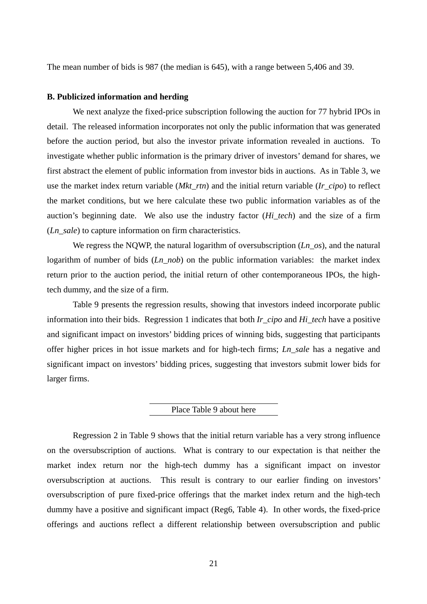The mean number of bids is 987 (the median is 645), with a range between 5,406 and 39.

#### **B. Publicized information and herding**

We next analyze the fixed-price subscription following the auction for 77 hybrid IPOs in detail. The released information incorporates not only the public information that was generated before the auction period, but also the investor private information revealed in auctions. To investigate whether public information is the primary driver of investors' demand for shares, we first abstract the element of public information from investor bids in auctions. As in Table 3, we use the market index return variable (*Mkt\_rtn*) and the initial return variable (*Ir\_cipo*) to reflect the market conditions, but we here calculate these two public information variables as of the auction's beginning date. We also use the industry factor (*Hi\_tech*) and the size of a firm (*Ln\_sale*) to capture information on firm characteristics.

We regress the NQWP, the natural logarithm of oversubscription (*Ln\_os*), and the natural logarithm of number of bids (*Ln\_nob*) on the public information variables: the market index return prior to the auction period, the initial return of other contemporaneous IPOs, the hightech dummy, and the size of a firm.

Table 9 presents the regression results, showing that investors indeed incorporate public information into their bids. Regression 1 indicates that both *Ir\_cipo* and *Hi\_tech* have a positive and significant impact on investors' bidding prices of winning bids, suggesting that participants offer higher prices in hot issue markets and for high-tech firms; *Ln\_sale* has a negative and significant impact on investors' bidding prices, suggesting that investors submit lower bids for larger firms.

### Place Table 9 about here

Regression 2 in Table 9 shows that the initial return variable has a very strong influence on the oversubscription of auctions. What is contrary to our expectation is that neither the market index return nor the high-tech dummy has a significant impact on investor oversubscription at auctions. This result is contrary to our earlier finding on investors' oversubscription of pure fixed-price offerings that the market index return and the high-tech dummy have a positive and significant impact (Reg6, Table 4). In other words, the fixed-price offerings and auctions reflect a different relationship between oversubscription and public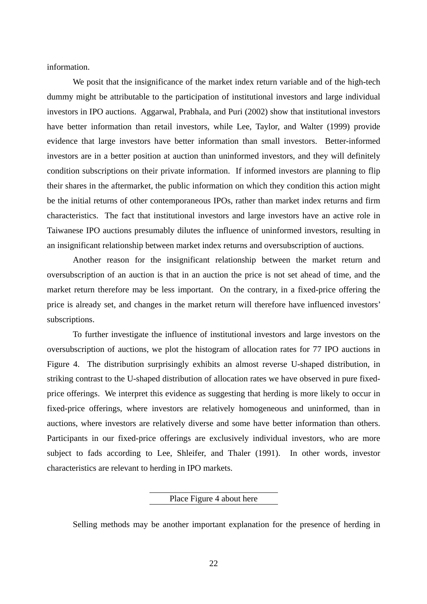information.

We posit that the insignificance of the market index return variable and of the high-tech dummy might be attributable to the participation of institutional investors and large individual investors in IPO auctions. Aggarwal, Prabhala, and Puri (2002) show that institutional investors have better information than retail investors, while Lee, Taylor, and Walter (1999) provide evidence that large investors have better information than small investors. Better-informed investors are in a better position at auction than uninformed investors, and they will definitely condition subscriptions on their private information. If informed investors are planning to flip their shares in the aftermarket, the public information on which they condition this action might be the initial returns of other contemporaneous IPOs, rather than market index returns and firm characteristics. The fact that institutional investors and large investors have an active role in Taiwanese IPO auctions presumably dilutes the influence of uninformed investors, resulting in an insignificant relationship between market index returns and oversubscription of auctions.

Another reason for the insignificant relationship between the market return and oversubscription of an auction is that in an auction the price is not set ahead of time, and the market return therefore may be less important. On the contrary, in a fixed-price offering the price is already set, and changes in the market return will therefore have influenced investors' subscriptions.

To further investigate the influence of institutional investors and large investors on the oversubscription of auctions, we plot the histogram of allocation rates for 77 IPO auctions in Figure 4. The distribution surprisingly exhibits an almost reverse U-shaped distribution, in striking contrast to the U-shaped distribution of allocation rates we have observed in pure fixedprice offerings. We interpret this evidence as suggesting that herding is more likely to occur in fixed-price offerings, where investors are relatively homogeneous and uninformed, than in auctions, where investors are relatively diverse and some have better information than others. Participants in our fixed-price offerings are exclusively individual investors, who are more subject to fads according to Lee, Shleifer, and Thaler (1991). In other words, investor characteristics are relevant to herding in IPO markets.

Place Figure 4 about here

Selling methods may be another important explanation for the presence of herding in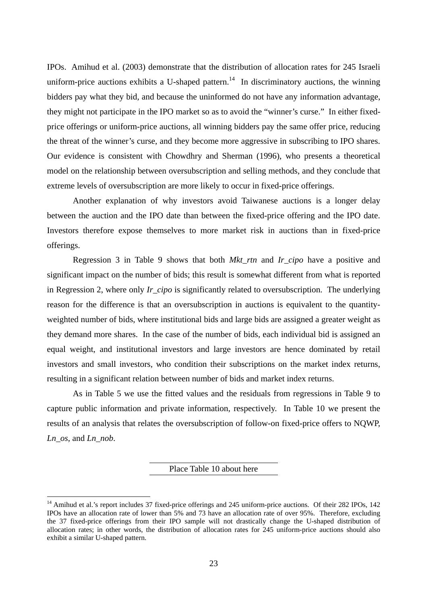IPOs. Amihud et al. (2003) demonstrate that the distribution of allocation rates for 245 Israeli uniform-price auctions exhibits a U-shaped pattern.<sup>14</sup> In discriminatory auctions, the winning bidders pay what they bid, and because the uninformed do not have any information advantage, they might not participate in the IPO market so as to avoid the "winner's curse." In either fixedprice offerings or uniform-price auctions, all winning bidders pay the same offer price, reducing the threat of the winner's curse, and they become more aggressive in subscribing to IPO shares. Our evidence is consistent with Chowdhry and Sherman (1996), who presents a theoretical model on the relationship between oversubscription and selling methods, and they conclude that extreme levels of oversubscription are more likely to occur in fixed-price offerings.

Another explanation of why investors avoid Taiwanese auctions is a longer delay between the auction and the IPO date than between the fixed-price offering and the IPO date. Investors therefore expose themselves to more market risk in auctions than in fixed-price offerings.

Regression 3 in Table 9 shows that both *Mkt\_rtn* and *Ir\_cipo* have a positive and significant impact on the number of bids; this result is somewhat different from what is reported in Regression 2, where only *Ir\_cipo* is significantly related to oversubscription. The underlying reason for the difference is that an oversubscription in auctions is equivalent to the quantityweighted number of bids, where institutional bids and large bids are assigned a greater weight as they demand more shares. In the case of the number of bids, each individual bid is assigned an equal weight, and institutional investors and large investors are hence dominated by retail investors and small investors, who condition their subscriptions on the market index returns, resulting in a significant relation between number of bids and market index returns.

As in Table 5 we use the fitted values and the residuals from regressions in Table 9 to capture public information and private information, respectively. In Table 10 we present the results of an analysis that relates the oversubscription of follow-on fixed-price offers to NQWP, *Ln\_os*, and *Ln\_nob*.

Place Table 10 about here

 $\overline{a}$ 

<sup>&</sup>lt;sup>14</sup> Amihud et al.'s report includes 37 fixed-price offerings and 245 uniform-price auctions. Of their 282 IPOs, 142 IPOs have an allocation rate of lower than 5% and 73 have an allocation rate of over 95%. Therefore, excluding the 37 fixed-price offerings from their IPO sample will not drastically change the U-shaped distribution of allocation rates; in other words, the distribution of allocation rates for 245 uniform-price auctions should also exhibit a similar U-shaped pattern.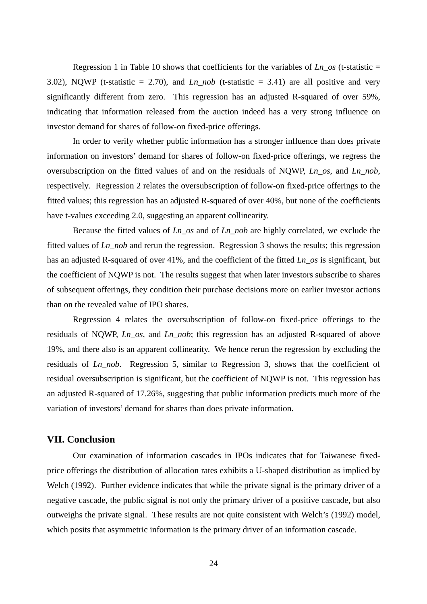Regression 1 in Table 10 shows that coefficients for the variables of  $Ln\_{os}$  (t-statistic = 3.02), NQWP (t-statistic = 2.70), and  $Ln\_nob$  (t-statistic = 3.41) are all positive and very significantly different from zero. This regression has an adjusted R-squared of over 59%, indicating that information released from the auction indeed has a very strong influence on investor demand for shares of follow-on fixed-price offerings.

In order to verify whether public information has a stronger influence than does private information on investors' demand for shares of follow-on fixed-price offerings, we regress the oversubscription on the fitted values of and on the residuals of NQWP, *Ln\_os*, and *Ln\_nob*, respectively. Regression 2 relates the oversubscription of follow-on fixed-price offerings to the fitted values; this regression has an adjusted R-squared of over 40%, but none of the coefficients have t-values exceeding 2.0, suggesting an apparent collinearity.

Because the fitted values of *Ln\_os* and of *Ln\_nob* are highly correlated, we exclude the fitted values of *Ln\_nob* and rerun the regression. Regression 3 shows the results; this regression has an adjusted R-squared of over 41%, and the coefficient of the fitted *Ln\_os* is significant, but the coefficient of NQWP is not. The results suggest that when later investors subscribe to shares of subsequent offerings, they condition their purchase decisions more on earlier investor actions than on the revealed value of IPO shares.

Regression 4 relates the oversubscription of follow-on fixed-price offerings to the residuals of NQWP, *Ln\_os*, and *Ln\_nob*; this regression has an adjusted R-squared of above 19%, and there also is an apparent collinearity. We hence rerun the regression by excluding the residuals of *Ln\_nob*. Regression 5, similar to Regression 3, shows that the coefficient of residual oversubscription is significant, but the coefficient of NQWP is not. This regression has an adjusted R-squared of 17.26%, suggesting that public information predicts much more of the variation of investors' demand for shares than does private information.

## **VII. Conclusion**

Our examination of information cascades in IPOs indicates that for Taiwanese fixedprice offerings the distribution of allocation rates exhibits a U-shaped distribution as implied by Welch (1992). Further evidence indicates that while the private signal is the primary driver of a negative cascade, the public signal is not only the primary driver of a positive cascade, but also outweighs the private signal. These results are not quite consistent with Welch's (1992) model, which posits that asymmetric information is the primary driver of an information cascade.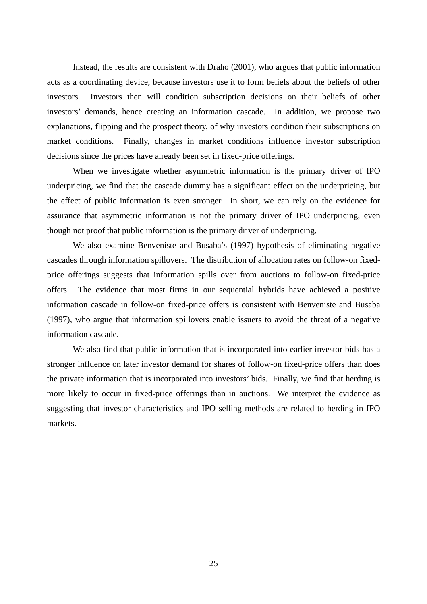Instead, the results are consistent with Draho (2001), who argues that public information acts as a coordinating device, because investors use it to form beliefs about the beliefs of other investors. Investors then will condition subscription decisions on their beliefs of other investors' demands, hence creating an information cascade. In addition, we propose two explanations, flipping and the prospect theory, of why investors condition their subscriptions on market conditions. Finally, changes in market conditions influence investor subscription decisions since the prices have already been set in fixed-price offerings.

When we investigate whether asymmetric information is the primary driver of IPO underpricing, we find that the cascade dummy has a significant effect on the underpricing, but the effect of public information is even stronger. In short, we can rely on the evidence for assurance that asymmetric information is not the primary driver of IPO underpricing, even though not proof that public information is the primary driver of underpricing.

We also examine Benveniste and Busaba's (1997) hypothesis of eliminating negative cascades through information spillovers. The distribution of allocation rates on follow-on fixedprice offerings suggests that information spills over from auctions to follow-on fixed-price offers. The evidence that most firms in our sequential hybrids have achieved a positive information cascade in follow-on fixed-price offers is consistent with Benveniste and Busaba (1997), who argue that information spillovers enable issuers to avoid the threat of a negative information cascade.

We also find that public information that is incorporated into earlier investor bids has a stronger influence on later investor demand for shares of follow-on fixed-price offers than does the private information that is incorporated into investors' bids. Finally, we find that herding is more likely to occur in fixed-price offerings than in auctions. We interpret the evidence as suggesting that investor characteristics and IPO selling methods are related to herding in IPO markets.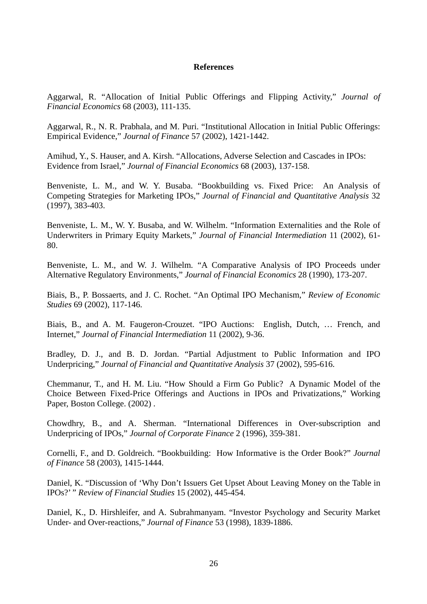## **References**

Aggarwal, R. "Allocation of Initial Public Offerings and Flipping Activity," *Journal of Financial Economics* 68 (2003), 111-135.

Aggarwal, R., N. R. Prabhala, and M. Puri. "Institutional Allocation in Initial Public Offerings: Empirical Evidence," *Journal of Finance* 57 (2002), 1421-1442.

Amihud, Y., S. Hauser, and A. Kirsh. "Allocations, Adverse Selection and Cascades in IPOs: Evidence from Israel," *Journal of Financial Economics* 68 (2003), 137-158.

Benveniste, L. M., and W. Y. Busaba. "Bookbuilding vs. Fixed Price: An Analysis of Competing Strategies for Marketing IPOs," *Journal of Financial and Quantitative Analysis* 32 (1997), 383-403.

Benveniste, L. M., W. Y. Busaba, and W. Wilhelm. "Information Externalities and the Role of Underwriters in Primary Equity Markets," *Journal of Financial Intermediation* 11 (2002), 61- 80.

Benveniste, L. M., and W. J. Wilhelm. "A Comparative Analysis of IPO Proceeds under Alternative Regulatory Environments," *Journal of Financial Economics* 28 (1990), 173-207.

Biais, B., P. Bossaerts, and J. C. Rochet. "An Optimal IPO Mechanism," *Review of Economic Studies* 69 (2002), 117-146.

Biais, B., and A. M. Faugeron-Crouzet. "IPO Auctions: English, Dutch, … French, and Internet," *Journal of Financial Intermediation* 11 (2002), 9-36.

Bradley, D. J., and B. D. Jordan. "Partial Adjustment to Public Information and IPO Underpricing," *Journal of Financial and Quantitative Analysis* 37 (2002), 595-616.

Chemmanur, T., and H. M. Liu. "How Should a Firm Go Public? A Dynamic Model of the Choice Between Fixed-Price Offerings and Auctions in IPOs and Privatizations," Working Paper, Boston College. (2002) .

Chowdhry, B., and A. Sherman. "International Differences in Over-subscription and Underpricing of IPOs," *Journal of Corporate Finance* 2 (1996), 359-381.

Cornelli, F., and D. Goldreich. "Bookbuilding: How Informative is the Order Book?" *Journal of Finance* 58 (2003), 1415-1444.

Daniel, K. "Discussion of 'Why Don't Issuers Get Upset About Leaving Money on the Table in IPOs?' " *Review of Financial Studies* 15 (2002), 445-454.

Daniel, K., D. Hirshleifer, and A. Subrahmanyam. "Investor Psychology and Security Market Under- and Over-reactions," *Journal of Finance* 53 (1998), 1839-1886.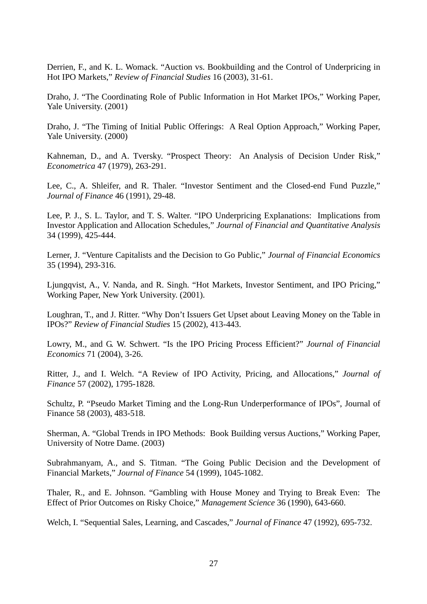Derrien, F., and K. L. Womack. "Auction vs. Bookbuilding and the Control of Underpricing in Hot IPO Markets," *Review of Financial Studies* 16 (2003), 31-61.

Draho, J. "The Coordinating Role of Public Information in Hot Market IPOs," Working Paper, Yale University. (2001)

Draho, J. "The Timing of Initial Public Offerings: A Real Option Approach," Working Paper, Yale University. (2000)

Kahneman, D., and A. Tversky. "Prospect Theory: An Analysis of Decision Under Risk," *Econometrica* 47 (1979), 263-291.

Lee, C., A. Shleifer, and R. Thaler. "Investor Sentiment and the Closed-end Fund Puzzle," *Journal of Finance* 46 (1991), 29-48.

Lee, P. J., S. L. Taylor, and T. S. Walter. "IPO Underpricing Explanations: Implications from Investor Application and Allocation Schedules," *Journal of Financial and Quantitative Analysis* 34 (1999), 425-444.

Lerner, J. "Venture Capitalists and the Decision to Go Public," *Journal of Financial Economics* 35 (1994), 293-316.

Ljungqvist, A., V. Nanda, and R. Singh. "Hot Markets, Investor Sentiment, and IPO Pricing," Working Paper, New York University. (2001).

Loughran, T., and J. Ritter. "Why Don't Issuers Get Upset about Leaving Money on the Table in IPOs?" *Review of Financial Studies* 15 (2002), 413-443.

Lowry, M., and G. W. Schwert. "Is the IPO Pricing Process Efficient?" *Journal of Financial Economics* 71 (2004), 3-26.

Ritter, J., and I. Welch. "A Review of IPO Activity, Pricing, and Allocations," *Journal of Finance* 57 (2002), 1795-1828.

Schultz, P. "Pseudo Market Timing and the Long-Run Underperformance of IPOs", Journal of Finance 58 (2003), 483-518.

Sherman, A. "Global Trends in IPO Methods: Book Building versus Auctions," Working Paper, University of Notre Dame. (2003)

Subrahmanyam, A., and S. Titman. "The Going Public Decision and the Development of Financial Markets," *Journal of Finance* 54 (1999), 1045-1082.

Thaler, R., and E. Johnson. "Gambling with House Money and Trying to Break Even: The Effect of Prior Outcomes on Risky Choice," *Management Science* 36 (1990), 643-660.

Welch, I. "Sequential Sales, Learning, and Cascades," *Journal of Finance* 47 (1992), 695-732.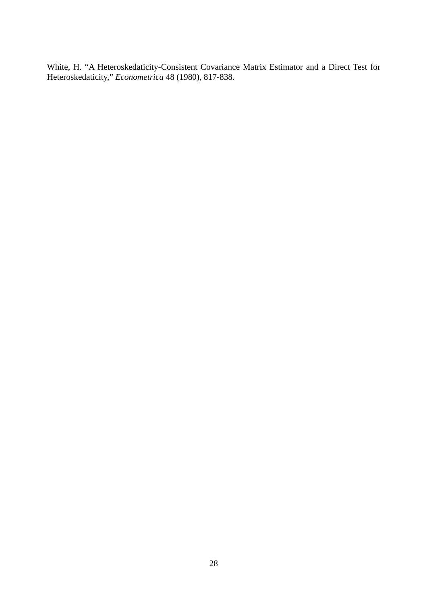White, H. "A Heteroskedaticity-Consistent Covariance Matrix Estimator and a Direct Test for Heteroskedaticity," *Econometrica* 48 (1980), 817-838.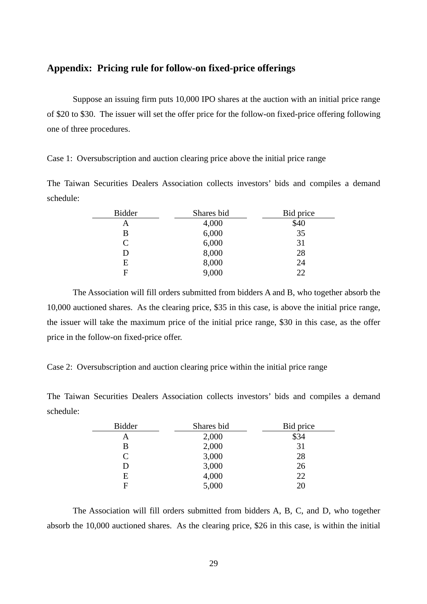## **Appendix: Pricing rule for follow-on fixed-price offerings**

Suppose an issuing firm puts 10,000 IPO shares at the auction with an initial price range of \$20 to \$30. The issuer will set the offer price for the follow-on fixed-price offering following one of three procedures.

Case 1: Oversubscription and auction clearing price above the initial price range

The Taiwan Securities Dealers Association collects investors' bids and compiles a demand schedule:

| <b>Bidder</b>               | Shares bid | Bid price |
|-----------------------------|------------|-----------|
| Α                           | 4,000      | \$40      |
| В                           | 6,000      | 35        |
| $\mathcal{C}_{\mathcal{C}}$ | 6,000      | 31        |
| D                           | 8,000      | 28        |
| E                           | 8,000      | 24        |
| E                           | 9,000      | 22        |

The Association will fill orders submitted from bidders A and B, who together absorb the 10,000 auctioned shares. As the clearing price, \$35 in this case, is above the initial price range, the issuer will take the maximum price of the initial price range, \$30 in this case, as the offer price in the follow-on fixed-price offer.

Case 2: Oversubscription and auction clearing price within the initial price range

The Taiwan Securities Dealers Association collects investors' bids and compiles a demand schedule:

| <b>Bidder</b> | Shares bid | Bid price |
|---------------|------------|-----------|
| А             | 2,000      | \$34      |
| В             | 2,000      | 31        |
| $\subset$     | 3,000      | 28        |
|               | 3,000      | 26        |
| Ε             | 4,000      | 22        |
| F             | 5,000      | 20        |

The Association will fill orders submitted from bidders A, B, C, and D, who together absorb the 10,000 auctioned shares. As the clearing price, \$26 in this case, is within the initial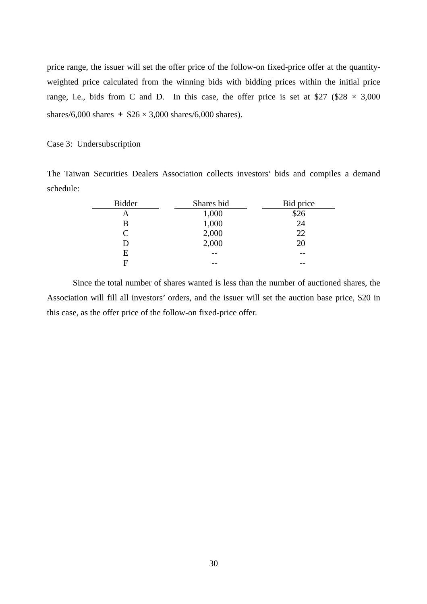price range, the issuer will set the offer price of the follow-on fixed-price offer at the quantityweighted price calculated from the winning bids with bidding prices within the initial price range, i.e., bids from C and D. In this case, the offer price is set at \$27 (\$28  $\times$  3,000 shares/6,000 shares  $+$  \$26  $\times$  3,000 shares/6,000 shares).

#### Case 3: Undersubscription

The Taiwan Securities Dealers Association collects investors' bids and compiles a demand schedule:

| <b>Bidder</b> | Shares bid | Bid price |
|---------------|------------|-----------|
| Α             | 1,000      | \$26      |
| В             | 1,000      | 24        |
| C             | 2,000      | 22        |
| D             | 2,000      | 20        |
| E             | --         |           |
| E             |            |           |

Since the total number of shares wanted is less than the number of auctioned shares, the Association will fill all investors' orders, and the issuer will set the auction base price, \$20 in this case, as the offer price of the follow-on fixed-price offer.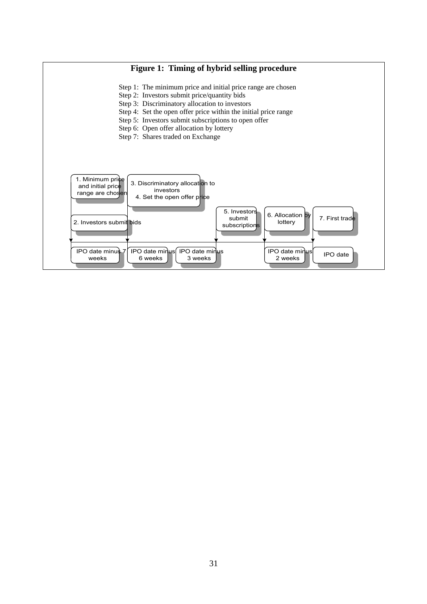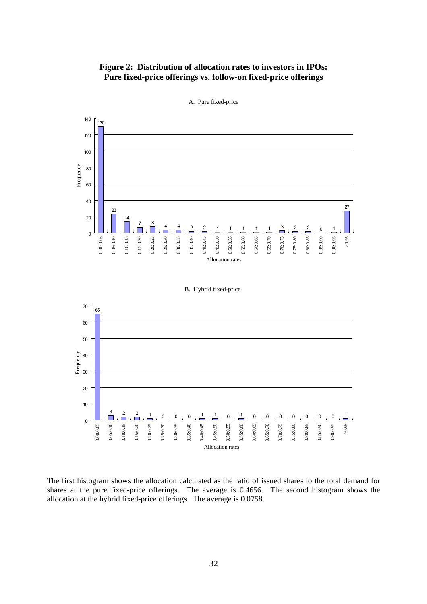## **Figure 2: Distribution of allocation rates to investors in IPOs: Pure fixed-price offerings vs. follow-on fixed-price offerings**



A. Pure fixed-price

65

50

60

70



The first histogram shows the allocation calculated as the ratio of issued shares to the total demand for shares at the pure fixed-price offerings. The average is 0.4656. The second histogram shows the allocation at the hybrid fixed-price offerings. The average is 0.0758.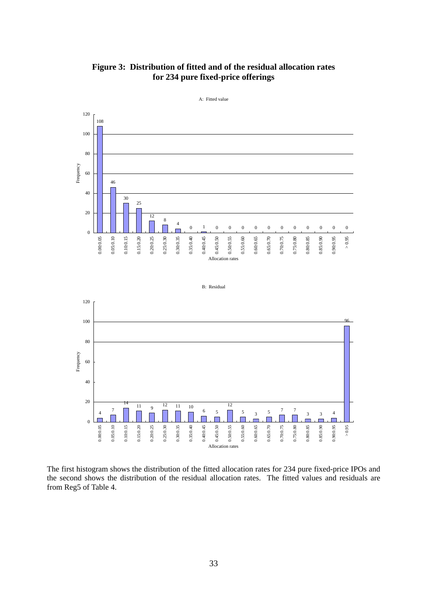



The first histogram shows the distribution of the fitted allocation rates for 234 pure fixed-price IPOs and the second shows the distribution of the residual allocation rates. The fitted values and residuals are from Reg5 of Table 4.

Allocation rates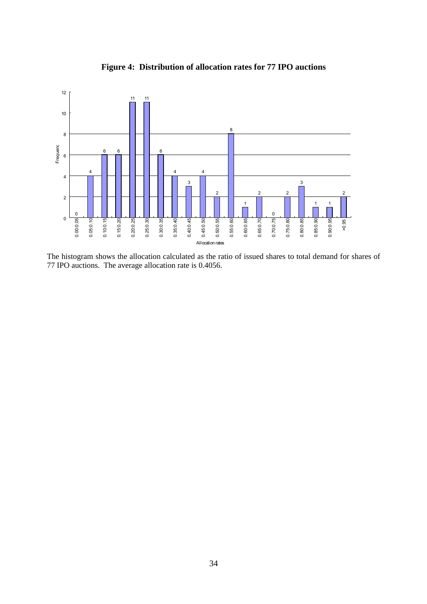

**Figure 4: Distribution of allocation rates for 77 IPO auctions** 

The histogram shows the allocation calculated as the ratio of issued shares to total demand for shares of 77 IPO auctions. The average allocation rate is 0.4056.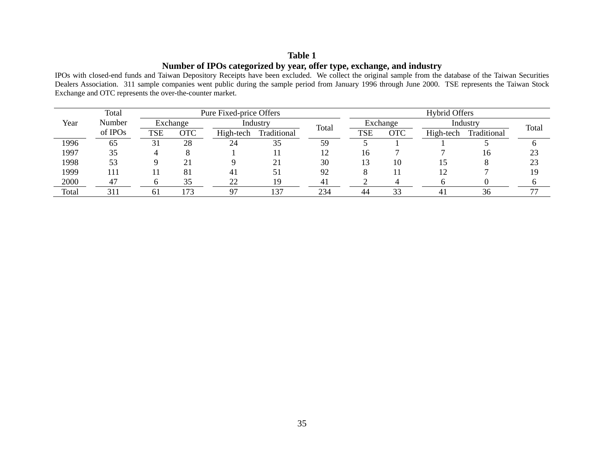## **Table 1Number of IPOs categorized by year, offer type, exchange, and industry**

IPOs with closed-end funds and Taiwan Depository Receipts have been excluded. We collect the original sample from the database of the Taiwan Securities Dealers Association. 311 sample companies went public during the sample period from January 1996 through June 2000. TSE represents the Taiwan Stock Exchange and OTC represents the over-the-counter market.

|       | Total<br>Pure Fixed-price Offers |            |          |           |             | <b>Hybrid Offers</b> |            |          |                |             |                          |
|-------|----------------------------------|------------|----------|-----------|-------------|----------------------|------------|----------|----------------|-------------|--------------------------|
| Year  | Number                           |            | Exchange |           | Industry    | Total                |            | Exchange |                | Industry    | Total                    |
|       | of IPOs                          | <b>TSE</b> | OTC      | High-tech | Traditional |                      | <b>TSE</b> | OTC      | High-tech      | Traditional |                          |
| 1996  | 65                               | 31         | 28       | 24        | 35          | 59                   |            |          |                |             |                          |
| 1997  | 35                               |            |          |           |             |                      | 16         |          |                | 16          | 23                       |
| 1998  | 53                               |            | 21       |           | 21          | 30                   | 3          | 10       |                |             | 23                       |
| 1999  | 111                              |            | 81       | 4         | 51          | 92                   |            |          |                |             | 19                       |
| 2000  | 47                               |            | 35       | 22        | 19          | 4 <sub>1</sub>       |            |          |                |             |                          |
| Total | 311                              | 61         | !73      | 97        | 137         | 234                  | 44         | 33       | 4 <sub>1</sub> | 36          | $\overline{\phantom{a}}$ |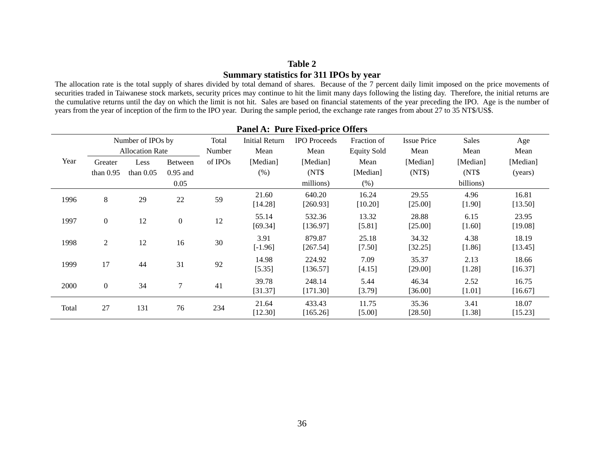## **Table 2 Summary statistics for 311 IPOs by year**

The allocation rate is the total supply of shares divided by total demand of shares. Because of the 7 percent daily limit imposed on the price movements of securities traded in Taiwanese stock markets, security prices may continue to hit the limit many days following the listing day. Therefore, the initial returns are the cumulative returns until the day on which the limit is not hit. Sales are based on financial statements of the year preceding the IPO. Age is the number of years from the year of inception of the firm to the IPO year. During the sample period, the exchange rate ranges from about 27 to 35 NT\$/US\$.

|       | <b>Panel A: Pure Fixed-price Offers</b> |                        |                  |         |                       |                     |                    |                    |                  |                  |
|-------|-----------------------------------------|------------------------|------------------|---------|-----------------------|---------------------|--------------------|--------------------|------------------|------------------|
|       |                                         | Number of IPOs by      |                  | Total   | <b>Initial Return</b> | <b>IPO</b> Proceeds | Fraction of        | <b>Issue Price</b> | <b>Sales</b>     | Age              |
|       |                                         | <b>Allocation Rate</b> |                  | Number  | Mean                  | Mean                | <b>Equity Sold</b> | Mean               | Mean             | Mean             |
| Year  | Greater                                 | Less                   | <b>Between</b>   | of IPOs | [Median]              | [Median]            | Mean               | [Median]           | [Median]         | [Median]         |
|       | than $0.95$                             | than $0.05$            | $0.95$ and       |         | (% )                  | (NT\$)              | [Median]           | (NT\$)             | (NT\$)           | (years)          |
|       |                                         |                        | 0.05             |         |                       | millions)           | (% )               |                    | billions)        |                  |
| 1996  | 8                                       | 29                     | 22               | 59      | 21.60<br>[14.28]      | 640.20<br>[260.93]  | 16.24<br>$[10.20]$ | 29.55<br>[25.00]   | 4.96<br>[1.90]   | 16.81<br>[13.50] |
| 1997  | $\boldsymbol{0}$                        | 12                     | $\boldsymbol{0}$ | 12      | 55.14<br>[69.34]      | 532.36<br>[136.97]  | 13.32<br>[5.81]    | 28.88<br>[25.00]   | 6.15<br>$[1.60]$ | 23.95<br>[19.08] |
| 1998  | $\overline{2}$                          | 12                     | 16               | 30      | 3.91<br>$[-1.96]$     | 879.87<br>[267.54]  | 25.18<br>[7.50]    | 34.32<br>[32.25]   | 4.38<br>[1.86]   | 18.19<br>[13.45] |
| 1999  | 17                                      | 44                     | 31               | 92      | 14.98<br>[5.35]       | 224.92<br>[136.57]  | 7.09<br>[4.15]     | 35.37<br>[29.00]   | 2.13<br>[1.28]   | 18.66<br>[16.37] |
| 2000  | $\boldsymbol{0}$                        | 34                     | $\tau$           | 41      | 39.78<br>[31.37]      | 248.14<br>[171.30]  | 5.44<br>[3.79]     | 46.34<br>[36.00]   | 2.52<br>$[1.01]$ | 16.75<br>[16.67] |
| Total | 27                                      | 131                    | 76               | 234     | 21.64<br>[12.30]      | 433.43<br>[165.26]  | 11.75<br>[5.00]    | 35.36<br>[28.50]   | 3.41<br>$[1.38]$ | 18.07<br>[15.23] |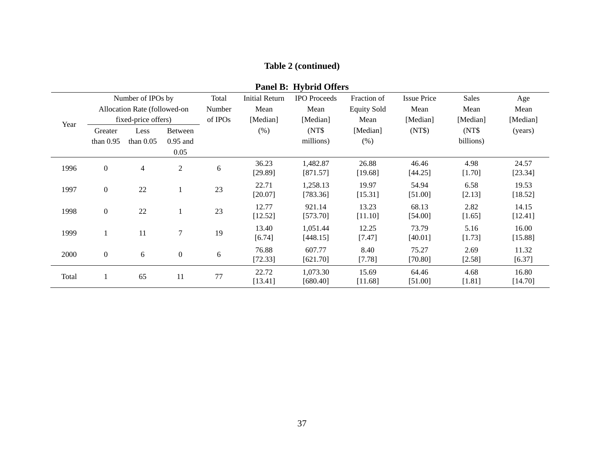# **Table 2 (continued)**

|       | Fallel D. Trybrid Otiers |                              |                  |         |                       |                      |                    |                    |                  |                  |
|-------|--------------------------|------------------------------|------------------|---------|-----------------------|----------------------|--------------------|--------------------|------------------|------------------|
|       |                          | Number of IPOs by            |                  | Total   | <b>Initial Return</b> | <b>IPO</b> Proceeds  | Fraction of        | <b>Issue Price</b> | Sales            | Age              |
|       |                          | Allocation Rate (followed-on |                  | Number  | Mean                  | Mean                 | <b>Equity Sold</b> | Mean               | Mean             | Mean             |
| Year  |                          | fixed-price offers)          |                  | of IPOs | [Median]              | [Median]             | Mean               | [Median]           | [Median]         | [Median]         |
|       | Greater                  | Less                         | <b>Between</b>   |         | (% )                  | (NT\$)               | [Median]           | (NT\$)             | (NT\$)           | (years)          |
|       | than $0.95$              | than $0.05$                  | $0.95$ and       |         |                       | millions)            | (% )               |                    | billions)        |                  |
|       |                          |                              | 0.05             |         |                       |                      |                    |                    |                  |                  |
| 1996  | $\boldsymbol{0}$         | $\overline{4}$               | $\overline{2}$   | 6       | 36.23<br>[29.89]      | 1,482.87<br>[871.57] | 26.88<br>[19.68]   | 46.46<br>[44.25]   | 4.98<br>[1.70]   | 24.57<br>[23.34] |
| 1997  | $\boldsymbol{0}$         | 22                           | $\mathbf{1}$     | 23      | 22.71<br>[20.07]      | 1,258.13<br>[783.36] | 19.97<br>[15.31]   | 54.94<br>[51.00]   | 6.58<br>[2.13]   | 19.53<br>[18.52] |
| 1998  | $\boldsymbol{0}$         | 22                           | $\mathbf{1}$     | 23      | 12.77<br>[12.52]      | 921.14<br>[573.70]   | 13.23<br>[11.10]   | 68.13<br>[54.00]   | 2.82<br>$[1.65]$ | 14.15<br>[12.41] |
| 1999  |                          | 11                           | 7                | 19      | 13.40<br>[6.74]       | 1,051.44<br>[448.15] | 12.25<br>[7.47]    | 73.79<br>[40.01]   | 5.16<br>$[1.73]$ | 16.00<br>[15.88] |
| 2000  | $\boldsymbol{0}$         | 6                            | $\boldsymbol{0}$ | 6       | 76.88<br>[72.33]      | 607.77<br>[621.70]   | 8.40<br>[7.78]     | 75.27<br>[70.80]   | 2.69<br>[2.58]   | 11.32<br>[6.37]  |
| Total |                          | 65                           | 11               | 77      | 22.72<br>[13.41]      | 1,073.30<br>[680.40] | 15.69<br>[11.68]   | 64.46<br>[51.00]   | 4.68<br>[1.81]   | 16.80<br>[14.70] |

**Panel R: Hybrid Offers**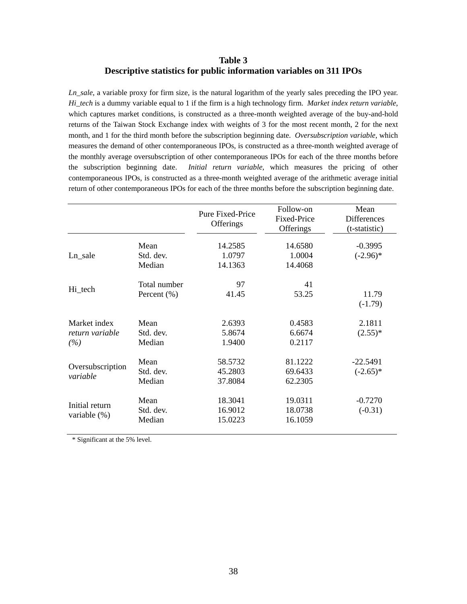## **Table 3 Descriptive statistics for public information variables on 311 IPOs**

*Ln\_sale*, a variable proxy for firm size, is the natural logarithm of the yearly sales preceding the IPO year. *Hi\_tech* is a dummy variable equal to 1 if the firm is a high technology firm. *Market index return variable*, which captures market conditions, is constructed as a three-month weighted average of the buy-and-hold returns of the Taiwan Stock Exchange index with weights of 3 for the most recent month, 2 for the next month, and 1 for the third month before the subscription beginning date. *Oversubscription variable*, which measures the demand of other contemporaneous IPOs, is constructed as a three-month weighted average of the monthly average oversubscription of other contemporaneous IPOs for each of the three months before the subscription beginning date. *Initial return variable*, which measures the pricing of other contemporaneous IPOs, is constructed as a three-month weighted average of the arithmetic average initial return of other contemporaneous IPOs for each of the three months before the subscription beginning date.

|                                        |                                 | Pure Fixed-Price<br>Offerings | Follow-on<br><b>Fixed-Price</b><br>Offerings | Mean<br><b>Differences</b><br>(t-statistic) |
|----------------------------------------|---------------------------------|-------------------------------|----------------------------------------------|---------------------------------------------|
| Ln sale                                | Mean<br>Std. dev.<br>Median     | 14.2585<br>1.0797<br>14.1363  | 14.6580<br>1.0004<br>14.4068                 | $-0.3995$<br>$(-2.96)$ *                    |
| Hi_tech                                | Total number<br>Percent $(\% )$ | 97<br>41.45                   | 41<br>53.25                                  | 11.79<br>$(-1.79)$                          |
| Market index<br>return variable<br>(%) | Mean<br>Std. dev.<br>Median     | 2.6393<br>5.8674<br>1.9400    | 0.4583<br>6.6674<br>0.2117                   | 2.1811<br>$(2.55)^*$                        |
| Oversubscription<br>variable           | Mean<br>Std. dev.<br>Median     | 58.5732<br>45.2803<br>37.8084 | 81.1222<br>69.6433<br>62.2305                | $-22.5491$<br>$(-2.65)$ *                   |
| Initial return<br>variable $(\%)$      | Mean<br>Std. dev.<br>Median     | 18.3041<br>16.9012<br>15.0223 | 19.0311<br>18.0738<br>16.1059                | $-0.7270$<br>$(-0.31)$                      |

\* Significant at the 5% level.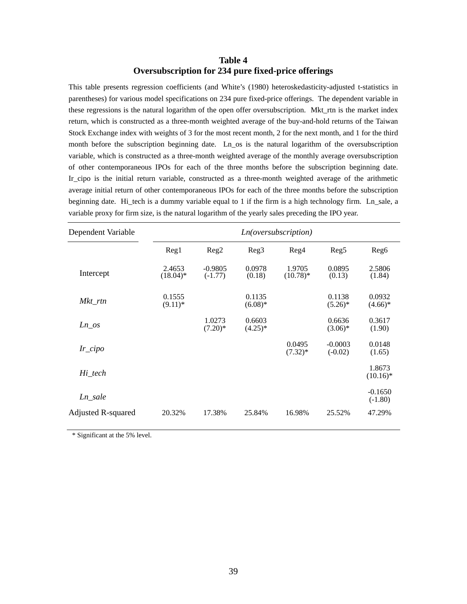## **Table 4 Oversubscription for 234 pure fixed-price offerings**

This table presents regression coefficients (and White's (1980) heteroskedasticity-adjusted t-statistics in parentheses) for various model specifications on 234 pure fixed-price offerings. The dependent variable in these regressions is the natural logarithm of the open offer oversubscription. Mkt\_rtn is the market index return, which is constructed as a three-month weighted average of the buy-and-hold returns of the Taiwan Stock Exchange index with weights of 3 for the most recent month, 2 for the next month, and 1 for the third month before the subscription beginning date. Ln\_os is the natural logarithm of the oversubscription variable, which is constructed as a three-month weighted average of the monthly average oversubscription of other contemporaneous IPOs for each of the three months before the subscription beginning date. Ir\_cipo is the initial return variable, constructed as a three-month weighted average of the arithmetic average initial return of other contemporaneous IPOs for each of the three months before the subscription beginning date. Hi\_tech is a dummy variable equal to 1 if the firm is a high technology firm. Ln\_sale, a variable proxy for firm size, is the natural logarithm of the yearly sales preceding the IPO year.

| Dependent Variable |                       |                        |                      | Ln(oversubscriptition) |                        |                        |
|--------------------|-----------------------|------------------------|----------------------|------------------------|------------------------|------------------------|
|                    | Reg1                  | Reg2                   | Reg3                 | Reg4                   | Reg <sub>5</sub>       | Reg <sub>6</sub>       |
| Intercept          | 2.4653<br>$(18.04)^*$ | $-0.9805$<br>$(-1.77)$ | 0.0978<br>(0.18)     | 1.9705<br>$(10.78)$ *  | 0.0895<br>(0.13)       | 2.5806<br>(1.84)       |
| Mkt rtn            | 0.1555<br>$(9.11)^*$  |                        | 0.1135<br>$(6.08)*$  |                        | 0.1138<br>$(5.26)^*$   | 0.0932<br>$(4.66)^*$   |
| Ln os              |                       | 1.0273<br>$(7.20)$ *   | 0.6603<br>$(4.25)^*$ |                        | 0.6636<br>$(3.06)*$    | 0.3617<br>(1.90)       |
| $Ir\_cipo$         |                       |                        |                      | 0.0495<br>$(7.32)^*$   | $-0.0003$<br>$(-0.02)$ | 0.0148<br>(1.65)       |
| Hi tech            |                       |                        |                      |                        |                        | 1.8673<br>$(10.16)^*$  |
| $Ln\_sale$         |                       |                        |                      |                        |                        | $-0.1650$<br>$(-1.80)$ |
| Adjusted R-squared | 20.32%                | 17.38%                 | 25.84%               | 16.98%                 | 25.52%                 | 47.29%                 |

\* Significant at the 5% level.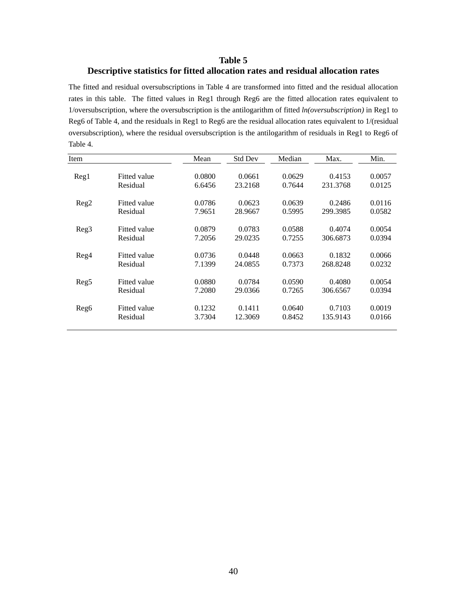## **Table 5 Descriptive statistics for fitted allocation rates and residual allocation rates**

The fitted and residual oversubscriptions in Table 4 are transformed into fitted and the residual allocation rates in this table. The fitted values in Reg1 through Reg6 are the fitted allocation rates equivalent to 1/oversubscription, where the oversubscription is the antilogarithm of fitted *ln(oversubscription)* in Reg1 to Reg6 of Table 4, and the residuals in Reg1 to Reg6 are the residual allocation rates equivalent to 1/(residual oversubscription), where the residual oversubscription is the antilogarithm of residuals in Reg1 to Reg6 of Table 4.

| Item             |                     | Mean   | <b>Std Dev</b> | Median | Max.     | Min.   |
|------------------|---------------------|--------|----------------|--------|----------|--------|
| Reg1             | Fitted value        | 0.0800 | 0.0661         | 0.0629 | 0.4153   | 0.0057 |
|                  | Residual            | 6.6456 | 23.2168        | 0.7644 | 231.3768 | 0.0125 |
|                  | Fitted value        | 0.0786 | 0.0623         | 0.0639 | 0.2486   | 0.0116 |
| $\text{Reg2}$    | Residual            | 7.9651 | 28.9667        | 0.5995 | 299.3985 | 0.0582 |
| Reg3             | Fitted value        | 0.0879 | 0.0783         | 0.0588 | 0.4074   | 0.0054 |
|                  | Residual            | 7.2056 | 29.0235        | 0.7255 | 306.6873 | 0.0394 |
| Reg4             | Fitted value        | 0.0736 | 0.0448         | 0.0663 | 0.1832   | 0.0066 |
|                  | Residual            | 7.1399 | 24.0855        | 0.7373 | 268.8248 | 0.0232 |
| Reg <sub>5</sub> | <b>Fitted value</b> | 0.0880 | 0.0784         | 0.0590 | 0.4080   | 0.0054 |
|                  | Residual            | 7.2080 | 29.0366        | 0.7265 | 306.6567 | 0.0394 |
| Reg <sub>6</sub> | Fitted value        | 0.1232 | 0.1411         | 0.0640 | 0.7103   | 0.0019 |
|                  | Residual            | 3.7304 | 12.3069        | 0.8452 | 135.9143 | 0.0166 |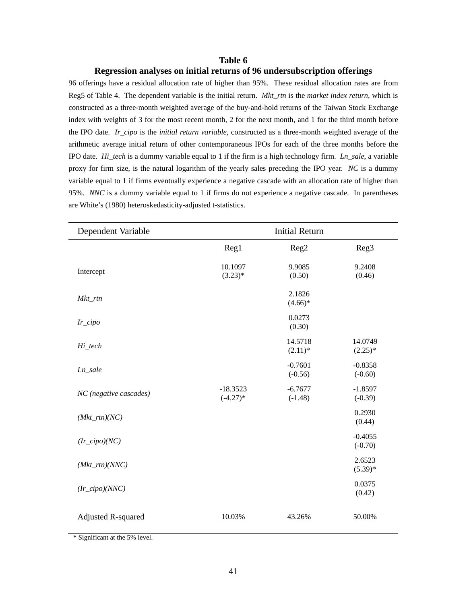#### **Table 6**

#### **Regression analyses on initial returns of 96 undersubscription offerings**

96 offerings have a residual allocation rate of higher than 95%. These residual allocation rates are from Reg5 of Table 4. The dependent variable is the initial return. *Mkt\_rtn* is the *market index return*, which is constructed as a three-month weighted average of the buy-and-hold returns of the Taiwan Stock Exchange index with weights of 3 for the most recent month, 2 for the next month, and 1 for the third month before the IPO date. *Ir\_cipo* is the *initial return variable*, constructed as a three-month weighted average of the arithmetic average initial return of other contemporaneous IPOs for each of the three months before the IPO date. *Hi\_tech* is a dummy variable equal to 1 if the firm is a high technology firm. *Ln\_sale*, a variable proxy for firm size, is the natural logarithm of the yearly sales preceding the IPO year. *NC* is a dummy variable equal to 1 if firms eventually experience a negative cascade with an allocation rate of higher than 95%. *NNC* is a dummy variable equal to 1 if firms do not experience a negative cascade. In parentheses are White's (1980) heteroskedasticity-adjusted t-statistics.

| Dependent Variable        |                           | <b>Initial Return</b>  |                        |
|---------------------------|---------------------------|------------------------|------------------------|
|                           | Reg1                      | Reg2                   | Reg <sub>3</sub>       |
| Intercept                 | 10.1097<br>$(3.23)*$      | 9.9085<br>(0.50)       | 9.2408<br>(0.46)       |
| Mkt_rtn                   |                           | 2.1826<br>$(4.66)*$    |                        |
| $Ir\_cipo$                |                           | 0.0273<br>(0.30)       |                        |
| Hi_tech                   |                           | 14.5718<br>$(2.11)^*$  | 14.0749<br>$(2.25)^*$  |
| Ln_sale                   |                           | $-0.7601$<br>$(-0.56)$ | $-0.8358$<br>$(-0.60)$ |
| NC (negative cascades)    | $-18.3523$<br>$(-4.27)$ * | $-6.7677$<br>$(-1.48)$ | $-1.8597$<br>$(-0.39)$ |
| $(Mkt\_rtn)(NC)$          |                           |                        | 0.2930<br>(0.44)       |
| $(Ir\_cipo)(NC)$          |                           |                        | $-0.4055$<br>$(-0.70)$ |
| $(Mkt\_rtn)(NNC)$         |                           |                        | 2.6523<br>$(5.39)*$    |
| $(Ir\_cipo)(NNC)$         |                           |                        | 0.0375<br>(0.42)       |
| <b>Adjusted R-squared</b> | 10.03%                    | 43.26%                 | 50.00%                 |

 <sup>\*</sup> Significant at the 5% level.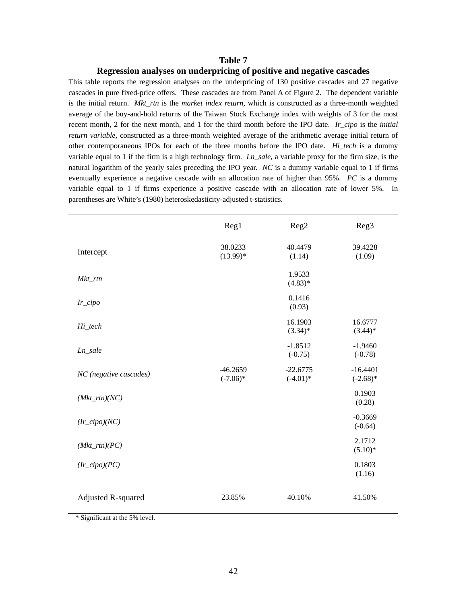#### **Table 7**

#### **Regression analyses on underpricing of positive and negative cascades**

This table reports the regression analyses on the underpricing of 130 positive cascades and 27 negative cascades in pure fixed-price offers. These cascades are from Panel A of Figure 2. The dependent variable is the initial return. *Mkt\_rtn* is the *market index return*, which is constructed as a three-month weighted average of the buy-and-hold returns of the Taiwan Stock Exchange index with weights of 3 for the most recent month, 2 for the next month, and 1 for the third month before the IPO date. *Ir\_cipo* is the *initial return variable*, constructed as a three-month weighted average of the arithmetic average initial return of other contemporaneous IPOs for each of the three months before the IPO date. *Hi\_tech* is a dummy variable equal to 1 if the firm is a high technology firm. *Ln\_sale*, a variable proxy for the firm size, is the natural logarithm of the yearly sales preceding the IPO year. *NC* is a dummy variable equal to 1 if firms eventually experience a negative cascade with an allocation rate of higher than 95%. *PC* is a dummy variable equal to 1 if firms experience a positive cascade with an allocation rate of lower 5%. In parentheses are White's (1980) heteroskedasticity-adjusted t-statistics.

|                           | Reg1                      | Reg2                      | Reg <sub>3</sub>          |
|---------------------------|---------------------------|---------------------------|---------------------------|
| Intercept                 | 38.0233<br>$(13.99)*$     | 40.4479<br>(1.14)         | 39.4228<br>(1.09)         |
| Mkt_rtn                   |                           | 1.9533<br>$(4.83)*$       |                           |
| Ir_cipo                   |                           | 0.1416<br>(0.93)          |                           |
| Hi_tech                   |                           | 16.1903<br>$(3.34)$ *     | 16.6777<br>$(3.44)$ *     |
| Ln_sale                   |                           | $-1.8512$<br>$(-0.75)$    | $-1.9460$<br>$(-0.78)$    |
| NC (negative cascades)    | $-46.2659$<br>$(-7.06)$ * | $-22.6775$<br>$(-4.01)$ * | $-16.4401$<br>$(-2.68)$ * |
| $(Mkt\_rtn)(NC)$          |                           |                           | 0.1903<br>(0.28)          |
| $(Ir\_cipo)(NC)$          |                           |                           | $-0.3669$<br>$(-0.64)$    |
| $(Mkt\_rtn)(PC)$          |                           |                           | 2.1712<br>$(5.10)^*$      |
| $(Ir\_cipo)(PC)$          |                           |                           | 0.1803<br>(1.16)          |
| <b>Adjusted R-squared</b> | 23.85%                    | 40.10%                    | 41.50%                    |

\* Significant at the 5% level.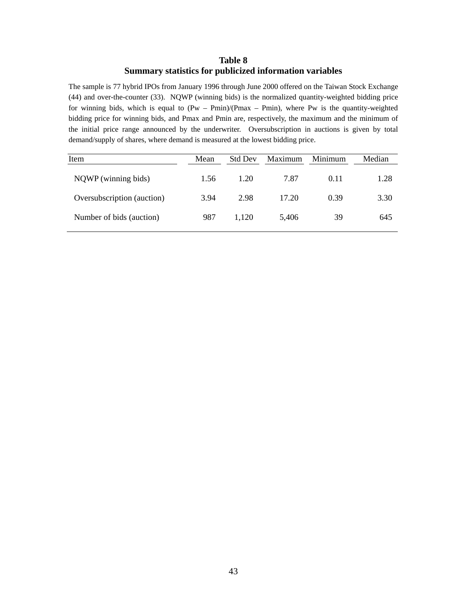## **Table 8 Summary statistics for publicized information variables**

The sample is 77 hybrid IPOs from January 1996 through June 2000 offered on the Taiwan Stock Exchange (44) and over-the-counter (33). NQWP (winning bids) is the normalized quantity-weighted bidding price for winning bids, which is equal to  $(Pw - Pmin)/(Pmax - Pmin)$ , where Pw is the quantity-weighted bidding price for winning bids, and Pmax and Pmin are, respectively, the maximum and the minimum of the initial price range announced by the underwriter. Oversubscription in auctions is given by total demand/supply of shares, where demand is measured at the lowest bidding price.

| Item                       | Mean | <b>Std Dev</b> | Maximum | Minimum | Median |
|----------------------------|------|----------------|---------|---------|--------|
| NQWP (winning bids)        | 1.56 | 1.20           | 7.87    | 0.11    | 1.28   |
| Oversubscription (auction) | 3.94 | 2.98           | 17.20   | 0.39    | 3.30   |
| Number of bids (auction)   | 987  | 1.120          | 5.406   | 39      | 645    |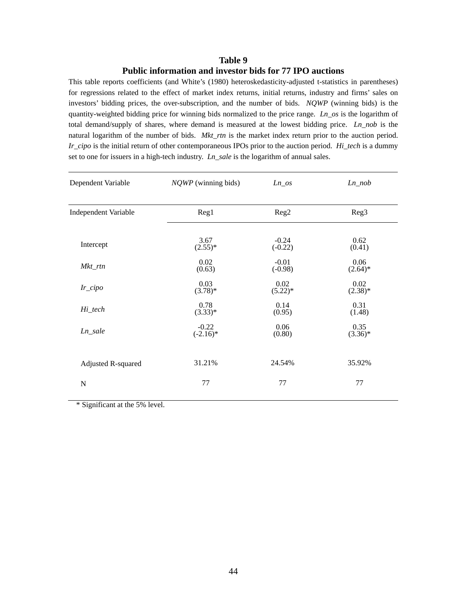## **Table 9 Public information and investor bids for 77 IPO auctions**

This table reports coefficients (and White's (1980) heteroskedasticity-adjusted t-statistics in parentheses) for regressions related to the effect of market index returns, initial returns, industry and firms' sales on investors' bidding prices, the over-subscription, and the number of bids. *NQWP* (winning bids) is the quantity-weighted bidding price for winning bids normalized to the price range. *Ln\_os* is the logarithm of total demand/supply of shares, where demand is measured at the lowest bidding price. *Ln\_nob* is the natural logarithm of the number of bids. *Mkt\_rtn* is the market index return prior to the auction period. *Ir\_cipo* is the initial return of other contemporaneous IPOs prior to the auction period. *Hi\_tech* is a dummy set to one for issuers in a high-tech industry. *Ln\_sale* is the logarithm of annual sales.

| Dependent Variable          | $NQWP$ (winning bids) | $Ln\_os$  | $Ln\_nob$  |
|-----------------------------|-----------------------|-----------|------------|
| <b>Independent Variable</b> | Reg1                  | Reg2      | Reg3       |
| Intercept                   | 3.67                  | $-0.24$   | 0.62       |
|                             | $(2.55)^*$            | $(-0.22)$ | (0.41)     |
| Mkt_rtn                     | 0.02                  | $-0.01$   | 0.06       |
|                             | (0.63)                | $(-0.98)$ | $(2.64)$ * |
| $Ir\_cipo$                  | 0.03                  | 0.02      | 0.02       |
|                             | $(3.78)$ *            | $(5.22)*$ | $(2.38)*$  |
| Hi_tech                     | 0.78                  | 0.14      | 0.31       |
|                             | $(3.33)*$             | (0.95)    | (1.48)     |
| $Ln\_sale$                  | $-0.22$               | 0.06      | 0.35       |
|                             | $(-2.16)$ *           | (0.80)    | $(3.36)*$  |
| Adjusted R-squared          | 31.21%                | 24.54%    | 35.92%     |
| N                           | 77                    | 77        | 77         |

\* Significant at the 5% level.